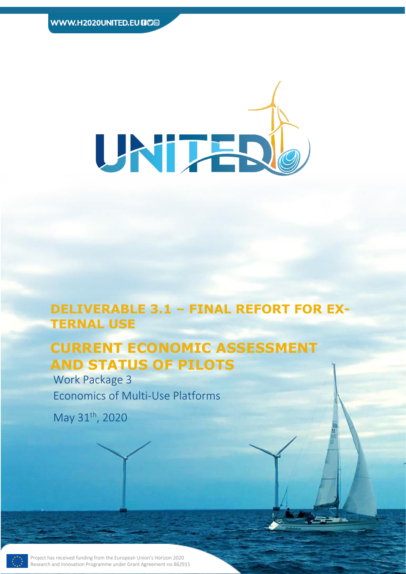

This Project has received funding from the European Union's Horizon 2020 Research

# **DELIVERABLE 3.1 – FINAL REFORT FOR EX-TERNAL USE**

Page 1 of 39 **Deliverable 3.1**

# **CURRENT ECONOMIC ASSESSMENT AND STATUS OF PILOTS**

Work Package 3 Economics of Multi-Use Platforms

May 31<sup>th</sup>, 2020

Project has received funding from the European Union's Horizon 2020 Research and Innovation Programme under Grant Agreement no 862915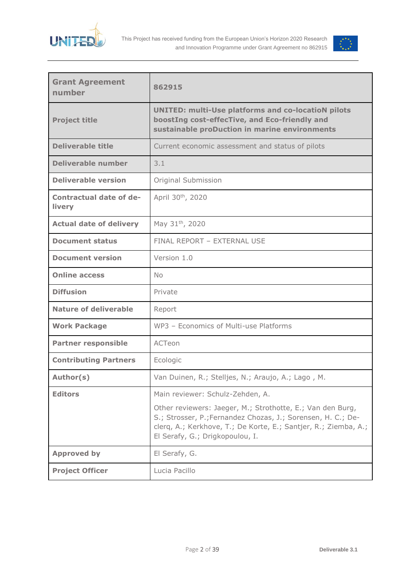



| <b>Grant Agreement</b><br>number                              | 862915                                                                                                                                                                                                                           |  |  |  |
|---------------------------------------------------------------|----------------------------------------------------------------------------------------------------------------------------------------------------------------------------------------------------------------------------------|--|--|--|
| <b>Project title</b>                                          | <b>UNITED: multi-Use platforms and co-locatioN pilots</b><br>boostIng cost-effecTive, and Eco-friendly and<br>sustainable proDuction in marine environments                                                                      |  |  |  |
| <b>Deliverable title</b>                                      | Current economic assessment and status of pilots                                                                                                                                                                                 |  |  |  |
| <b>Deliverable number</b>                                     | 3.1                                                                                                                                                                                                                              |  |  |  |
| <b>Deliverable version</b>                                    | Original Submission                                                                                                                                                                                                              |  |  |  |
| <b>Contractual date of de-</b><br>livery                      | April 30th, 2020                                                                                                                                                                                                                 |  |  |  |
| May 31 <sup>th</sup> , 2020<br><b>Actual date of delivery</b> |                                                                                                                                                                                                                                  |  |  |  |
| <b>Document status</b>                                        | FINAL REPORT - EXTERNAL USE                                                                                                                                                                                                      |  |  |  |
| <b>Document version</b>                                       | Version 1.0                                                                                                                                                                                                                      |  |  |  |
| <b>Online access</b>                                          | <b>No</b>                                                                                                                                                                                                                        |  |  |  |
| <b>Diffusion</b>                                              | Private                                                                                                                                                                                                                          |  |  |  |
| <b>Nature of deliverable</b>                                  | Report                                                                                                                                                                                                                           |  |  |  |
| <b>Work Package</b>                                           | WP3 - Economics of Multi-use Platforms                                                                                                                                                                                           |  |  |  |
| <b>Partner responsible</b>                                    | ACTeon                                                                                                                                                                                                                           |  |  |  |
| <b>Contributing Partners</b>                                  | Ecologic                                                                                                                                                                                                                         |  |  |  |
| Author(s)                                                     | Van Duinen, R.; Stelljes, N.; Araujo, A.; Lago, M.                                                                                                                                                                               |  |  |  |
| <b>Editors</b>                                                | Main reviewer: Schulz-Zehden, A.                                                                                                                                                                                                 |  |  |  |
|                                                               | Other reviewers: Jaeger, M.; Strothotte, E.; Van den Burg,<br>S.; Strosser, P.; Fernandez Chozas, J.; Sorensen, H. C.; De-<br>clerq, A.; Kerkhove, T.; De Korte, E.; Santjer, R.; Ziemba, A.;<br>El Serafy, G.; Drigkopoulou, I. |  |  |  |
| <b>Approved by</b>                                            | El Serafy, G.                                                                                                                                                                                                                    |  |  |  |
| <b>Project Officer</b>                                        | Lucia Pacillo                                                                                                                                                                                                                    |  |  |  |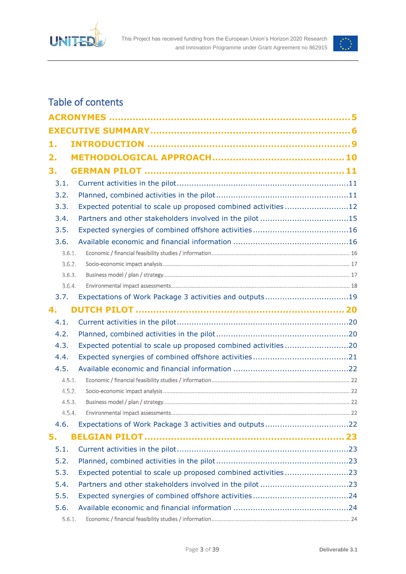



## Table of contents

| 1.     |        |                                                               |  |
|--------|--------|---------------------------------------------------------------|--|
| 2.     |        |                                                               |  |
| 3.     |        |                                                               |  |
| 3.1.   |        |                                                               |  |
| 3.2.   |        |                                                               |  |
| 3.3.   |        | Expected potential to scale up proposed combined activities12 |  |
| 3.4.   |        | Partners and other stakeholders involved in the pilot 15      |  |
| 3.5.   |        |                                                               |  |
| 3.6.   |        |                                                               |  |
| 3.6.1. |        |                                                               |  |
|        | 3.6.2. |                                                               |  |
|        | 3.6.3. |                                                               |  |
|        | 3.6.4. |                                                               |  |
| 3.7.   |        |                                                               |  |
| 4.     |        |                                                               |  |
| 4.1.   |        |                                                               |  |
| 4.2.   |        |                                                               |  |
| 4.3.   |        | Expected potential to scale up proposed combined activities20 |  |
| 4.4.   |        |                                                               |  |
| 4.5.   |        |                                                               |  |
| 4.5.1. |        |                                                               |  |
| 4.5.2. |        |                                                               |  |
|        | 4.5.3. |                                                               |  |
| 4.5.4. |        |                                                               |  |
| 4.6.   |        |                                                               |  |
| 5.     |        |                                                               |  |
| 5.1.   |        |                                                               |  |
| 5.2.   |        |                                                               |  |
| 5.3.   |        | Expected potential to scale up proposed combined activities23 |  |
| 5.4.   |        |                                                               |  |
| 5.5.   |        |                                                               |  |
| 5.6.   |        |                                                               |  |
| 5.6.1. |        |                                                               |  |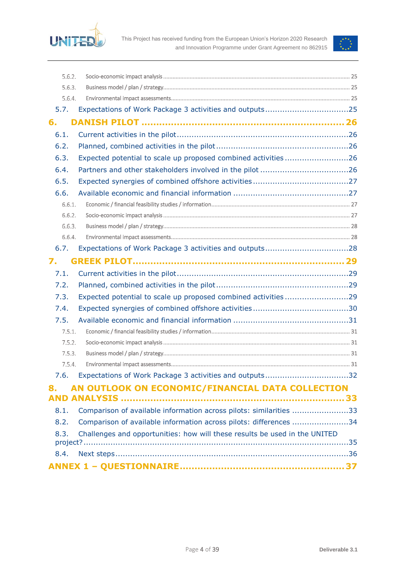



| 5.6.2. |                                                                            |  |
|--------|----------------------------------------------------------------------------|--|
| 5.6.3. |                                                                            |  |
| 5.6.4. |                                                                            |  |
| 5.7.   |                                                                            |  |
| 6.     |                                                                            |  |
| 6.1.   |                                                                            |  |
| 6.2.   |                                                                            |  |
| 6.3.   | Expected potential to scale up proposed combined activities26              |  |
| 6.4.   |                                                                            |  |
| 6.5.   |                                                                            |  |
| 6.6.   |                                                                            |  |
| 6.6.1. |                                                                            |  |
| 6.6.2. |                                                                            |  |
| 6.6.3. |                                                                            |  |
| 6.6.4. |                                                                            |  |
| 6.7.   |                                                                            |  |
| 7.     |                                                                            |  |
| 7.1.   |                                                                            |  |
| 7.2.   |                                                                            |  |
| 7.3.   | Expected potential to scale up proposed combined activities29              |  |
| 7.4.   |                                                                            |  |
| 7.5.   |                                                                            |  |
| 7.5.1. |                                                                            |  |
| 7.5.2. |                                                                            |  |
| 7.5.3. |                                                                            |  |
| 7.5.4. |                                                                            |  |
|        | 7.6. Expectations of Work Package 3 activities and outputs32               |  |
| 8.     | AN OUTLOOK ON ECONOMIC/FINANCIAL DATA COLLECTION                           |  |
|        |                                                                            |  |
| 8.1.   | Comparison of available information across pilots: similarities 33         |  |
| 8.2.   | Comparison of available information across pilots: differences 34          |  |
| 8.3.   | Challenges and opportunities: how will these results be used in the UNITED |  |
|        |                                                                            |  |
| 8.4.   |                                                                            |  |
|        |                                                                            |  |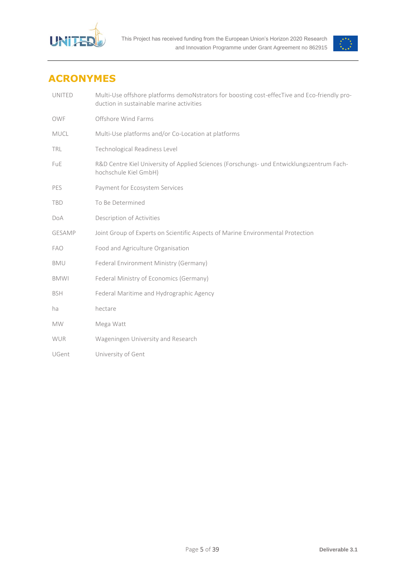



## <span id="page-4-0"></span>**ACRONYMES**

| <b>UNITED</b> | Multi-Use offshore platforms demoNstrators for boosting cost-effecTive and Eco-friendly pro-<br>duction in sustainable marine activities |
|---------------|------------------------------------------------------------------------------------------------------------------------------------------|
| OWF           | Offshore Wind Farms                                                                                                                      |
| MUCL          | Multi-Use platforms and/or Co-Location at platforms                                                                                      |
| TRL           | Technological Readiness Level                                                                                                            |
| FuE           | R&D Centre Kiel University of Applied Sciences (Forschungs- und Entwicklungszentrum Fach-<br>hochschule Kiel GmbH)                       |
| PES           | Payment for Ecosystem Services                                                                                                           |
| <b>TBD</b>    | To Be Determined                                                                                                                         |
| <b>DoA</b>    | Description of Activities                                                                                                                |
| <b>GESAMP</b> | Joint Group of Experts on Scientific Aspects of Marine Environmental Protection                                                          |
| <b>FAO</b>    | Food and Agriculture Organisation                                                                                                        |
| <b>BMU</b>    | Federal Environment Ministry (Germany)                                                                                                   |
| <b>BMWI</b>   | Federal Ministry of Economics (Germany)                                                                                                  |
| <b>BSH</b>    | Federal Maritime and Hydrographic Agency                                                                                                 |
| ha            | hectare                                                                                                                                  |
| <b>MW</b>     | Mega Watt                                                                                                                                |
| <b>WUR</b>    | Wageningen University and Research                                                                                                       |
| UGent         | University of Gent                                                                                                                       |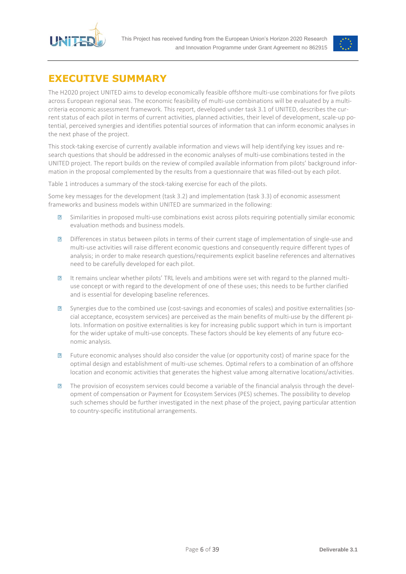



## <span id="page-5-0"></span>**EXECUTIVE SUMMARY**

The H2020 project UNITED aims to develop economically feasible offshore multi-use combinations for five pilots across European regional seas. The economic feasibility of multi-use combinations will be evaluated by a multicriteria economic assessment framework. This report, developed under task 3.1 of UNITED, describes the current status of each pilot in terms of current activities, planned activities, their level of development, scale-up potential, perceived synergies and identifies potential sources of information that can inform economic analyses in the next phase of the project.

This stock-taking exercise of currently available information and views will help identifying key issues and research questions that should be addressed in the economic analyses of multi-use combinations tested in the UNITED project. The report builds on the review of compiled available information from pilots' background information in the proposal complemented by the results from a questionnaire that was filled-out by each pilot.

[Table 1](#page-6-0) introduces a summary of the stock-taking exercise for each of the pilots.

Some key messages for the development (task 3.2) and implementation (task 3.3) of economic assessment frameworks and business models within UNITED are summarized in the following:

- $\overline{R}$ Similarities in proposed multi-use combinations exist across pilots requiring potentially similar economic evaluation methods and business models.
- $\sqrt{2}$ Differences in status between pilots in terms of their current stage of implementation of single-use and multi-use activities will raise different economic questions and consequently require different types of analysis; in order to make research questions/requirements explicit baseline references and alternatives need to be carefully developed for each pilot.
- It remains unclear whether pilots' TRL levels and ambitions were set with regard to the planned multi- $\sqrt{2}$ use concept or with regard to the development of one of these uses; this needs to be further clarified and is essential for developing baseline references.
- Synergies due to the combined use (cost-savings and economies of scales) and positive externalities (so- $\overline{R}$ cial acceptance, ecosystem services) are perceived as the main benefits of multi-use by the different pilots. Information on positive externalities is key for increasing public support which in turn is important for the wider uptake of multi-use concepts. These factors should be key elements of any future economic analysis.
- $\overline{R}$ Future economic analyses should also consider the value (or opportunity cost) of marine space for the optimal design and establishment of multi-use schemes. Optimal refers to a combination of an offshore location and economic activities that generates the highest value among alternative locations/activities.
- $\overline{R}$ The provision of ecosystem services could become a variable of the financial analysis through the development of compensation or Payment for Ecosystem Services (PES) schemes. The possibility to develop such schemes should be further investigated in the next phase of the project, paying particular attention to country-specific institutional arrangements.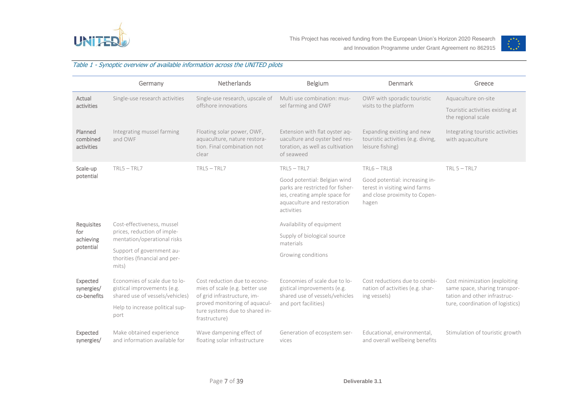



#### Table 1 - Synoptic overview of available information across the UNITED pilots

<span id="page-6-0"></span>

|                                       | Germany                                                                                         | Netherlands                                                                                                                    | Belgium                                                                                                                                        | Denmark                                                                                                   | Greece                                                                                                                             |  |
|---------------------------------------|-------------------------------------------------------------------------------------------------|--------------------------------------------------------------------------------------------------------------------------------|------------------------------------------------------------------------------------------------------------------------------------------------|-----------------------------------------------------------------------------------------------------------|------------------------------------------------------------------------------------------------------------------------------------|--|
| Actual<br>activities                  | Single-use research activities                                                                  | Single-use research, upscale of<br>offshore innovations                                                                        | Multi use combination: mus-<br>sel farming and OWF                                                                                             | OWF with sporadic touristic<br>visits to the platform                                                     | Aquaculture on-site<br>Touristic activities existing at<br>the regional scale                                                      |  |
| Planned<br>combined<br>activities     | Integrating mussel farming<br>and OWF                                                           | Floating solar power, OWF,<br>aquaculture, nature restora-<br>tion. Final combination not<br>clear                             | Extension with flat oyster aq-<br>uaculture and oyster bed res-<br>toration, as well as cultivation<br>of seaweed                              | Expanding existing and new<br>touristic activities (e.g. diving,<br>leisure fishing)                      | Integrating touristic activities<br>with aquaculture                                                                               |  |
| Scale-up                              | $TRL5 - TRL7$                                                                                   | $TRL5 - TRL7$                                                                                                                  | $TRL5 - TRL7$                                                                                                                                  | $TRL6 - TRL8$                                                                                             | $TRL 5 - TRL7$                                                                                                                     |  |
| potential                             |                                                                                                 |                                                                                                                                | Good potential: Belgian wind<br>parks are restricted for fisher-<br>ies, creating ample space for<br>aquaculture and restoration<br>activities | Good potential: increasing in-<br>terest in visiting wind farms<br>and close proximity to Copen-<br>hagen |                                                                                                                                    |  |
| Requisites                            | Cost-effectiveness, mussel                                                                      |                                                                                                                                | Availability of equipment                                                                                                                      |                                                                                                           |                                                                                                                                    |  |
| for<br>achieving                      | prices, reduction of imple-<br>mentation/operational risks                                      |                                                                                                                                | Supply of biological source<br>materials                                                                                                       |                                                                                                           |                                                                                                                                    |  |
| potential                             | Support of government au-<br>thorities (financial and per-<br>mits)                             |                                                                                                                                | Growing conditions                                                                                                                             |                                                                                                           |                                                                                                                                    |  |
| Expected<br>synergies/<br>co-benefits | Economies of scale due to lo-<br>gistical improvements (e.g.<br>shared use of vessels/vehicles) | Cost reduction due to econo-<br>mies of scale (e.g. better use<br>of grid infrastructure, im-<br>proved monitoring of aquacul- | Economies of scale due to lo-<br>gistical improvements (e.g.<br>shared use of vessels/vehicles<br>and port facilities)                         | Cost reductions due to combi-<br>nation of activities (e.g. shar-<br>ing vessels)                         | Cost minimization (exploiting<br>same space, sharing transpor-<br>tation and other infrastruc-<br>ture, coordination of logistics) |  |
|                                       | Help to increase political sup-<br>port                                                         | ture systems due to shared in-<br>frastructure)                                                                                |                                                                                                                                                |                                                                                                           |                                                                                                                                    |  |
| Expected<br>synergies/                | Make obtained experience<br>and information available for                                       | Wave dampening effect of<br>floating solar infrastructure                                                                      | Generation of ecosystem ser-<br>vices                                                                                                          | Educational, environmental,<br>and overall wellbeing benefits                                             | Stimulation of touristic growth                                                                                                    |  |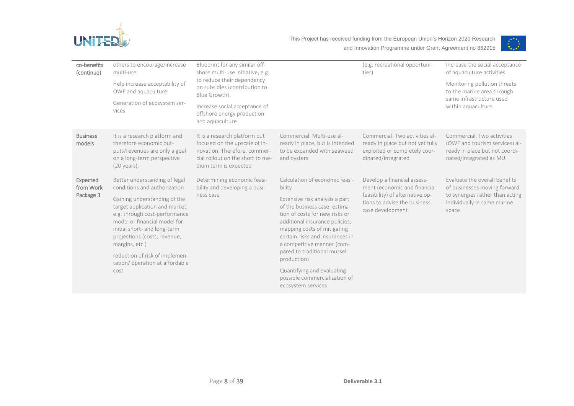



| co-benefits<br>(continue)          | others to encourage/increase<br>multi-use<br>Help increase acceptability of<br>OWF and aquaculture<br>Generation of ecosystem ser-<br>vices                                                                                                                                                                                                                    | Blueprint for any similar off-<br>shore multi-use initiative, e.g.<br>to reduce their dependency<br>on subsidies (contribution to<br>Blue Growth).<br>Increase social acceptance of<br>offshore energy production<br>and aquaculture |                                                                                                                                                                                                                                                                                                                                                                                                                    | (e.g. recreational opportuni-<br>ties)                                                                                                             | Increase the social acceptance<br>of aquaculture activities<br>Monitoring pollution threats<br>to the marine area through<br>same infrastructure used<br>within aquaculture. |
|------------------------------------|----------------------------------------------------------------------------------------------------------------------------------------------------------------------------------------------------------------------------------------------------------------------------------------------------------------------------------------------------------------|--------------------------------------------------------------------------------------------------------------------------------------------------------------------------------------------------------------------------------------|--------------------------------------------------------------------------------------------------------------------------------------------------------------------------------------------------------------------------------------------------------------------------------------------------------------------------------------------------------------------------------------------------------------------|----------------------------------------------------------------------------------------------------------------------------------------------------|------------------------------------------------------------------------------------------------------------------------------------------------------------------------------|
| <b>Business</b><br>models          | It is a research platform and<br>therefore economic out-<br>puts/revenues are only a goal<br>on a long-term perspective<br>$(20 \text{ years}).$                                                                                                                                                                                                               | It is a research platform but<br>focused on the upscale of in-<br>novation. Therefore, commer-<br>cial rollout on the short to me-<br>dium term is expected                                                                          | Commercial, Multi-use al-<br>ready in place, but is intended<br>to be expanded with seaweed<br>and oysters                                                                                                                                                                                                                                                                                                         | Commercial. Two activities al-<br>ready in place but not yet fully<br>exploited or completely coor-<br>dinated/integrated                          | Commercial. Two activities<br>(OWF and tourism services) al-<br>ready in place but not coordi-<br>nated/integrated as MU.                                                    |
| Expected<br>from Work<br>Package 3 | Better understanding of legal<br>conditions and authorization<br>Gaining understanding of the<br>target application and market,<br>e.g. through cost-performance<br>model or financial model for<br>initial short- and long-term<br>projections (costs, revenue,<br>margins, etc.)<br>reduction of risk of implemen-<br>tation/operation at affordable<br>cost | Determining economic feasi-<br>bility and developing a busi-<br>ness case                                                                                                                                                            | Calculation of economic feasi-<br>bility<br>Extensive risk analysis a part<br>of the business case: estima-<br>tion of costs for new risks or<br>additional insurance policies;<br>mapping costs of mitigating<br>certain risks and insurances in<br>a competitive manner (com-<br>pared to traditional mussel<br>production)<br>Quantifying and evaluating<br>possible commercialization of<br>ecosystem services | Develop a financial assess-<br>ment (economic and financial<br>feasibility) of alternative op-<br>tions to advise the business<br>case development | Evaluate the overall benefits<br>of businesses moving forward<br>to synergies rather than acting<br>individually in same marine<br>space                                     |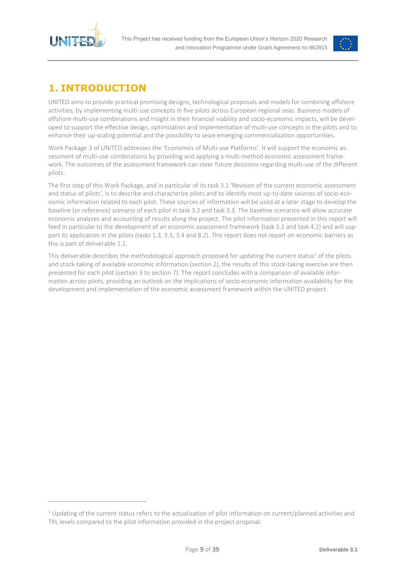

 $\overline{a}$ 



## <span id="page-8-0"></span>**1. INTRODUCTION**

UNITED aims to provide practical promising designs, technological proposals and models for combining offshore activities, by implementing multi-use concepts in five pilots across European regional seas. Business models of offshore multi-use combinations and insight in their financial viability and socio-economic impacts, will be developed to support the effective design, optimization and implementation of multi-use concepts in the pilots and to enhance their up-scaling potential and the possibility to seize emerging commercialization opportunities.

Work Package 3 of UNITED addresses the 'Economics of Multi-use Platforms'. It will support the economic assessment of multi-use combinations by providing and applying a multi-method economic assessment framework. The outcomes of the assessment framework can steer future decisions regarding multi-use of the different pilots.

The first step of this Work Package, and in particular of its task 3.1 'Revision of the current economic assessment and status of pilots', is to describe and characterize pilots and to identify most up-to-date sources of socio-economic information related to each pilot. These sources of information will be used at a later stage to develop the baseline (or reference) scenario of each pilot in task 3.2 and task 3.3. The baseline scenarios will allow accurate economic analyses and accounting of results along the project. The pilot information presented in this report will feed in particular to the development of an economic assessment framework (task 3.2 and task 4.2) and will support its application in the pilots (tasks 1.3, 3.3, 3.4 and 8.2). This report does not report on economic barriers as this is part of deliverable 1.1.

This deliverable describes the methodological approach proposed for updating the current status<sup>1</sup> of the pilots and stock-taking of available economic information (section 2), the results of this stock-taking exercise are then presented for each pilot (section 3 to section 7). The report concludes with a comparison of available information across pilots, providing an outlook on the implications of socio-economic information availability for the development and implementation of the economic assessment framework within the UNITED project.

 $1$  Updating of the current status refers to the actualization of pilot information on current/planned activities and TRL levels compared to the pilot information provided in the project proposal.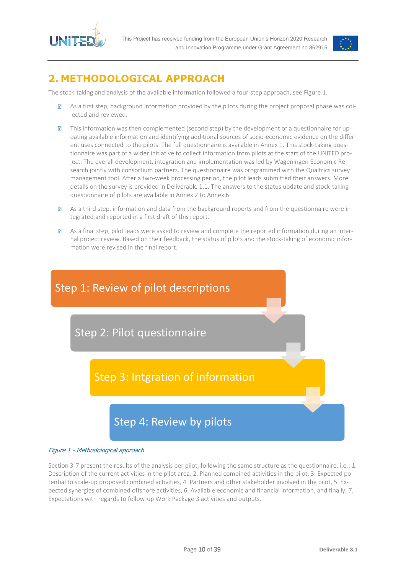



## <span id="page-9-0"></span>**2. METHODOLOGICAL APPROACH**

The stock-taking and analysis of the available information followed a four-step approach, se[e Figure 1.](#page-9-1)

- $\overline{R}$ As a first step, background information provided by the pilots during the project proposal phase was collected and reviewed.
- This information was then complemented (second step) by the development of a questionnaire for up- $\overline{R}$ dating available information and identifying additional sources of socio-economic evidence on the different uses connected to the pilots. The full questionnaire is available in Annex 1. This stock-taking questionnaire was part of a wider initiative to collect information from pilots at the start of the UNITED project. The overall development, integration and implementation was led by Wageningen Economic Research jointly with consortium partners. The questionnaire was programmed with the Qualtrics survey management tool. After a two-week processing period, the pilot leads submitted their answers. More details on the survey is provided in Deliverable 1.1. The answers to the status update and stock-taking questionnaire of pilots are available in Annex 2 to Annex 6.
- $\overline{?}$ As a third step, information and data from the background reports and from the questionnaire were integrated and reported in a first draft of this report.
- As a final step, pilot leads were asked to review and complete the reported information during an inter- $\overline{R}$ nal project review. Based on their feedback, the status of pilots and the stock-taking of economic information were revised in the final report.



#### <span id="page-9-1"></span>Figure 1 - Methodological approach

Section 3-7 present the results of the analysis per pilot, following the same structure as the questionnaire, i.e.: 1. Description of the current activities in the pilot area, 2. Planned combined activities in the pilot, 3. Expected potential to scale-up proposed combined activities, 4. Partners and other stakeholder involved in the pilot, 5. Expected synergies of combined offshore activities, 6. Available economic and financial information, and finally, 7. Expectations with regards to follow-up Work Package 3 activities and outputs.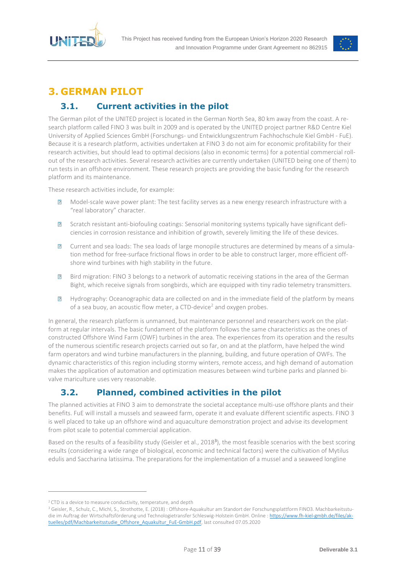



## <span id="page-10-0"></span>**3. GERMAN PILOT**

## <span id="page-10-1"></span>**3.1. Current activities in the pilot**

The German pilot of the UNITED project is located in the German North Sea, 80 km away from the coast. A research platform called FINO 3 was built in 2009 and is operated by the UNITED project partner R&D Centre Kiel University of Applied Sciences GmbH (Forschungs- und Entwicklungszentrum Fachhochschule Kiel GmbH - FuE). Because it is a research platform, activities undertaken at FINO 3 do not aim for economic profitability for their research activities, but should lead to optimal decisions (also in economic terms) for a potential commercial rollout of the research activities. Several research activities are currently undertaken (UNITED being one of them) to run tests in an offshore environment. These research projects are providing the basic funding for the research platform and its maintenance.

These research activities include, for example:

- $\overline{R}$ Model-scale wave power plant: The test facility serves as a new energy research infrastructure with a "real laboratory" character.
- $\sqrt{2}$ Scratch resistant anti-biofouling coatings: Sensorial monitoring systems typically have significant deficiencies in corrosion resistance and inhibition of growth, severely limiting the life of these devices.
- Current and sea loads: The sea loads of large monopile structures are determined by means of a simula- $\overline{R}$ tion method for free-surface frictional flows in order to be able to construct larger, more efficient offshore wind turbines with high stability in the future.
- Bird migration: FINO 3 belongs to a network of automatic receiving stations in the area of the German  $\overline{P}$ Bight, which receive signals from songbirds, which are equipped with tiny radio telemetry transmitters.
- $\overline{?}$ Hydrography: Oceanographic data are collected on and in the immediate field of the platform by means of a sea buoy, an acoustic flow meter, a CTD-device<sup>2</sup> and oxygen probes.

In general, the research platform is unmanned, but maintenance personnel and researchers work on the platform at regular intervals. The basic fundament of the platform follows the same characteristics as the ones of constructed Offshore Wind Farm (OWF) turbines in the area. The experiences from its operation and the results of the numerous scientific research projects carried out so far, on and at the platform, have helped the wind farm operators and wind turbine manufacturers in the planning, building, and future operation of OWFs. The dynamic characteristics of this region including stormy winters, remote access, and high demand of automation makes the application of automation and optimization measures between wind turbine parks and planned bivalve mariculture uses very reasonable.

## **3.2. Planned, combined activities in the pilot**

<span id="page-10-2"></span>The planned activities at FINO 3 aim to demonstrate the societal acceptance multi-use offshore plants and their benefits. FuE will install a mussels and seaweed farm, operate it and evaluate different scientific aspects. FINO 3 is well placed to take up an offshore wind and aquaculture demonstration project and advise its development from pilot scale to potential commercial application.

Based on the results of a feasibility study (Geisler et al., 2018<sup>3</sup>), the most feasible scenarios with the best scoring results (considering a wide range of biological, economic and technical factors) were the cultivation of Mytilus edulis and Saccharina latissima. The preparations for the implementation of a mussel and a seaweed longline

 $\overline{a}$ 

<sup>&</sup>lt;sup>2</sup> CTD is a device to measure conductivity, temperature, and depth

<sup>3</sup> Geisler, R., Schulz, C., Michl, S., Strothotte, E. (2018) : Offshore-Aquakultur am Standort der Forschungsplattform FINO3. Machbarkeitsstu-die im Auftrag der Wirtschaftsförderung und Technologietransfer Schleswig-Holstein GmbH. Online [: https://www.fh-kiel-gmbh.de/files/ak](https://www.fh-kiel-gmbh.de/files/aktuelles/pdf/Machbarkeitsstudie_Offshore_Aquakultur_FuE-GmbH.pdf)[tuelles/pdf/Machbarkeitsstudie\\_Offshore\\_Aquakultur\\_FuE-GmbH.pdf,](https://www.fh-kiel-gmbh.de/files/aktuelles/pdf/Machbarkeitsstudie_Offshore_Aquakultur_FuE-GmbH.pdf) last consulted 07.05.2020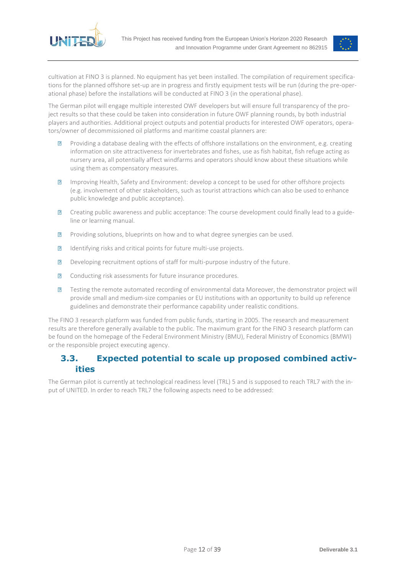



cultivation at FINO 3 is planned. No equipment has yet been installed. The compilation of requirement specifications for the planned offshore set-up are in progress and firstly equipment tests will be run (during the pre-operational phase) before the installations will be conducted at FINO 3 (in the operational phase).

The German pilot will engage multiple interested OWF developers but will ensure full transparency of the project results so that these could be taken into consideration in future OWF planning rounds, by both industrial players and authorities. Additional project outputs and potential products for interested OWF operators, operators/owner of decommissioned oil platforms and maritime coastal planners are:

- Providing a database dealing with the effects of offshore installations on the environment, e.g. creating  $\overline{R}$ information on site attractiveness for invertebrates and fishes, use as fish habitat, fish refuge acting as nursery area, all potentially affect windfarms and operators should know about these situations while using them as compensatory measures.
- Improving Health, Safety and Environment: develop a concept to be used for other offshore projects  $\overline{R}$ (e.g. involvement of other stakeholders, such as tourist attractions which can also be used to enhance public knowledge and public acceptance).
- $\sqrt{2}$ Creating public awareness and public acceptance: The course development could finally lead to a guideline or learning manual.
- Providing solutions, blueprints on how and to what degree synergies can be used.  $\overline{R}$
- Identifying risks and critical points for future multi-use projects.  $\sqrt{2}$
- $\overline{R}$ Developing recruitment options of staff for multi-purpose industry of the future.
- $\sqrt{2}$ Conducting risk assessments for future insurance procedures.
- $\sqrt{2}$ Testing the remote automated recording of environmental data Moreover, the demonstrator project will provide small and medium-size companies or EU institutions with an opportunity to build up reference guidelines and demonstrate their performance capability under realistic conditions.

The FINO 3 research platform was funded from public funds, starting in 2005. The research and measurement results are therefore generally available to the public. The maximum grant for the FINO 3 research platform can be found on the homepage of the Federal Environment Ministry (BMU), Federal Ministry of Economics (BMWI) or the responsible project executing agency.

## <span id="page-11-0"></span>**3.3. Expected potential to scale up proposed combined activities**

The German pilot is currently at technological readiness level (TRL) 5 and is supposed to reach TRL7 with the input of UNITED. In order to reach TRL7 the following aspects need to be addressed: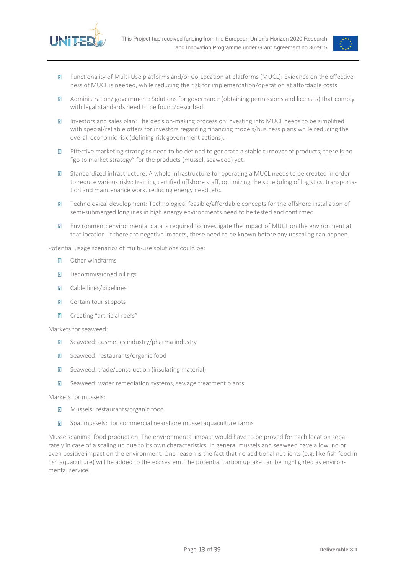



- $\overline{R}$ Functionality of Multi-Use platforms and/or Co-Location at platforms (MUCL): Evidence on the effectiveness of MUCL is needed, while reducing the risk for implementation/operation at affordable costs.
- Administration/ government: Solutions for governance (obtaining permissions and licenses) that comply  $\sqrt{2}$ with legal standards need to be found/described.
- Investors and sales plan: The decision-making process on investing into MUCL needs to be simplified  $\overline{R}$ with special/reliable offers for investors regarding financing models/business plans while reducing the overall economic risk (defining risk government actions).
- $\overline{R}$ Effective marketing strategies need to be defined to generate a stable turnover of products, there is no "go to market strategy" for the products (mussel, seaweed) yet.
- $\overline{R}$ Standardized infrastructure: A whole infrastructure for operating a MUCL needs to be created in order to reduce various risks: training certified offshore staff, optimizing the scheduling of logistics, transportation and maintenance work, reducing energy need, etc.
- Technological development: Technological feasible/affordable concepts for the offshore installation of  $\overline{R}$ semi-submerged longlines in high energy environments need to be tested and confirmed.
- $\overline{R}$ Environment: environmental data is required to investigate the impact of MUCL on the environment at that location. If there are negative impacts, these need to be known before any upscaling can happen.

Potential usage scenarios of multi-use solutions could be:

- Other windfarms  $\overline{R}$
- Decommissioned oil rigs  $\sqrt{2}$
- Cable lines/pipelines  $\sqrt{2}$
- $\overline{?}$ Certain tourist spots
- $\overline{R}$ Creating "artificial reefs"

Markets for seaweed:

- Seaweed: cosmetics industry/pharma industry  $\overline{2}$
- $\sqrt{2}$ Seaweed: restaurants/organic food
- $\sqrt{2}$ Seaweed: trade/construction (insulating material)
- Seaweed: water remediation systems, sewage treatment plants  $\overline{R}$

Markets for mussels:

- $\overline{?}$ Mussels: restaurants/organic food
- $\sqrt{2}$ Spat mussels: for commercial nearshore mussel aquaculture farms

Mussels: animal food production. The environmental impact would have to be proved for each location separately in case of a scaling up due to its own characteristics. In general mussels and seaweed have a low, no or even positive impact on the environment. One reason is the fact that no additional nutrients (e.g. like fish food in fish aquaculture) will be added to the ecosystem. The potential carbon uptake can be highlighted as environmental service.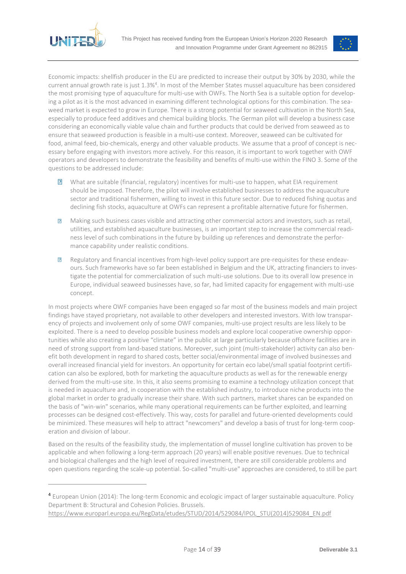<span id="page-13-0"></span>

 $\overline{a}$ 



Economic impacts: shellfish producer in the EU are predicted to increase their output by 30% by 2030, while the current annual growth rate is just 1.3%<sup>4</sup>. In most of the Member States mussel aquaculture has been considered the most promising type of aquaculture for multi-use with OWFs. The North Sea is a suitable option for developing a pilot as it is the most advanced in examining different technological options for this combination. The seaweed market is expected to grow in Europe. There is a strong potential for seaweed cultivation in the North Sea, especially to produce feed additives and chemical building blocks. The German pilot will develop a business case considering an economically viable value chain and further products that could be derived from seaweed as to ensure that seaweed production is feasible in a multi-use context. Moreover, seaweed can be cultivated for food, animal feed, bio-chemicals, energy and other valuable products. We assume that a proof of concept is necessary before engaging with investors more actively. For this reason, it is important to work together with OWF operators and developers to demonstrate the feasibility and benefits of multi-use within the FINO 3. Some of the questions to be addressed include:

- $\boxed{2}$ What are suitable (financial, regulatory) incentives for multi-use to happen, what EIA requirement should be imposed. Therefore, the pilot will involve established businesses to address the aquaculture sector and traditional fishermen, willing to invest in this future sector. Due to reduced fishing quotas and declining fish stocks, aquaculture at OWFs can represent a profitable alternative future for fishermen.
- Making such business cases visible and attracting other commercial actors and investors, such as retail,  $\overline{R}$ utilities, and established aquaculture businesses, is an important step to increase the commercial readiness level of such combinations in the future by building up references and demonstrate the performance capability under realistic conditions.
- $\sqrt{2}$ Regulatory and financial incentives from high-level policy support are pre-requisites for these endeavours. Such frameworks have so far been established in Belgium and the UK, attracting financiers to investigate the potential for commercialization of such multi-use solutions. Due to its overall low presence in Europe, individual seaweed businesses have, so far, had limited capacity for engagement with multi-use concept.

In most projects where OWF companies have been engaged so far most of the business models and main project findings have stayed proprietary, not available to other developers and interested investors. With low transparency of projects and involvement only of some OWF companies, multi-use project results are less likely to be exploited. There is a need to develop possible business models and explore local cooperative ownership opportunities while also creating a positive "climate" in the public at large particularly because offshore facilities are in need of strong support from land-based stations. Moreover, such joint (multi-stakeholder) activity can also benefit both development in regard to shared costs, better social/environmental image of involved businesses and overall increased financial yield for investors. An opportunity for certain eco label/small spatial footprint certification can also be explored, both for marketing the aquaculture products as well as for the renewable energy derived from the multi-use site. In this, it also seems promising to examine a technology utilization concept that is needed in aquaculture and, in cooperation with the established industry, to introduce niche products into the global market in order to gradually increase their share. With such partners, market shares can be expanded on the basis of "win-win" scenarios, while many operational requirements can be further exploited, and learning processes can be designed cost-effectively. This way, costs for parallel and future-oriented developments could be minimized. These measures will help to attract "newcomers" and develop a basis of trust for long-term cooperation and division of labour.

Based on the results of the feasibility study, the implementation of mussel longline cultivation has proven to be applicable and when following a long-term approach (20 years) will enable positive revenues. Due to technical and biological challenges and the high level of required investment, there are still considerable problems and open questions regarding the scale-up potential. So-called "multi-use" approaches are considered, to still be part

<sup>4</sup> European Union (2014): The long-term Economic and ecologic impact of larger sustainable aquaculture. Policy Department B: Structural and Cohesion Policies. Brussels.

[https://www.europarl.europa.eu/RegData/etudes/STUD/2014/529084/IPOL\\_STU\(2014\)529084\\_EN.pdf](https://www.europarl.europa.eu/RegData/etudes/STUD/2014/529084/IPOL_STU(2014)529084_EN.pdf)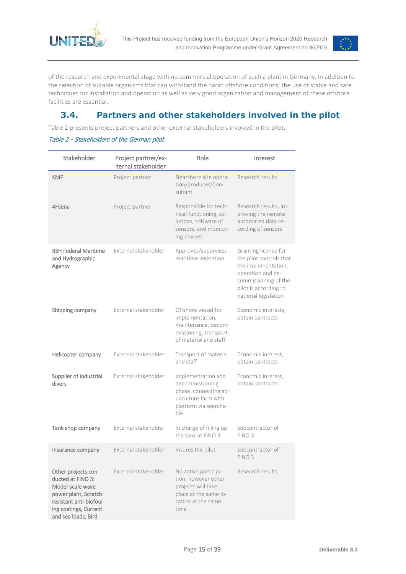



of the research and experimental stage with no commercial operation of such a plant in Germany. In addition to the selection of suitable organisms that can withstand the harsh offshore conditions, the use of stable and safe techniques for installation and operation as well as very good organisation and management of these offshore facilities are essential.

## **3.4. Partners and other stakeholders involved in the pilot**

[Table 2](#page-14-0) presents project partners and other external stakeholders involved in the pilot.

#### <span id="page-14-0"></span>Table 2 - Stakeholders of the German pilot

| Stakeholder                                                                                                                                                     | Project partner/ex-<br>ternal stakeholder | Role                                                                                                                     | Interest                                                                                                                                                             |
|-----------------------------------------------------------------------------------------------------------------------------------------------------------------|-------------------------------------------|--------------------------------------------------------------------------------------------------------------------------|----------------------------------------------------------------------------------------------------------------------------------------------------------------------|
| <b>KMF</b>                                                                                                                                                      | Project partner                           | Nearshore site opera-<br>tion/producer/Con-<br>sultant                                                                   | Research results                                                                                                                                                     |
| 4HJena                                                                                                                                                          | Project partner                           | Responsible for tech-<br>nical functioning, so-<br>lutions, software of<br>sensors, and monitor-<br>ing devices          | Research results, im-<br>proving the remote<br>automated data re-<br>cording of sensors                                                                              |
| <b>BSH Federal Maritime</b><br>and Hydrographic<br>Agency                                                                                                       | External stakeholder                      | Approves/supervises<br>maritime legislation                                                                              | Granting licence for<br>the pilot controls that<br>the implementation,<br>operation and de-<br>commissioning of the<br>pilot is according to<br>national legislation |
| Shipping company                                                                                                                                                | External stakeholder                      | Offshore vessel for<br>implementation,<br>maintenance, decom-<br>missioning, transport<br>of material and staff          | Economic interests,<br>obtain contracts                                                                                                                              |
| Helicopter company                                                                                                                                              | External stakeholder                      | Transport of material<br>and staff                                                                                       | Economic interest,<br>obtain contracts                                                                                                                               |
| Supplier of industrial<br>divers                                                                                                                                | External stakeholder                      | Implementation and<br>decommissioning<br>phase, connecting aq-<br>uaculture farm with<br>platform via searcha-<br>ble    | Economic interest,<br>obtain contracts                                                                                                                               |
| Tank shop company                                                                                                                                               | External stakeholder                      | In charge of filling up<br>the tank at FINO 3                                                                            | Subcontractor of<br>FINO <sub>3</sub>                                                                                                                                |
| Insurance company                                                                                                                                               | External stakeholder                      | Insures the pilot                                                                                                        | Subcontractor of<br>FINO <sub>3</sub>                                                                                                                                |
| Other projects con-<br>ducted at FINO 3:<br>Model-scale wave<br>power plant, Scratch<br>resistant anti-biofoul-<br>ing coatings, Current<br>and sea loads, Bird | External stakeholder                      | No active participa-<br>tion, however other<br>projects will take<br>place at the same lo-<br>cation at the same<br>time | Research results                                                                                                                                                     |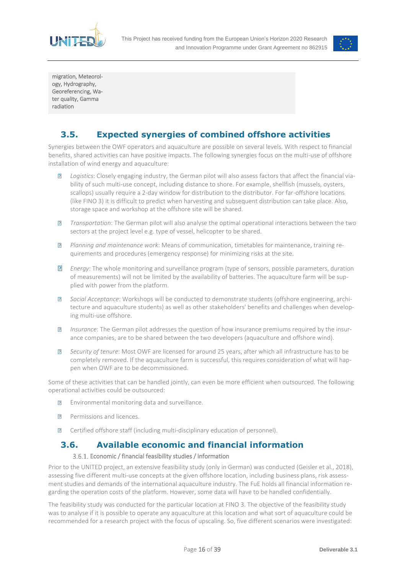



migration, Meteorology, Hydrography, Georeferencing, Water quality, Gamma radiation

## **3.5. Expected synergies of combined offshore activities**

<span id="page-15-0"></span>Synergies between the OWF operators and aquaculture are possible on several levels. With respect to financial benefits, shared activities can have positive impacts. The following synergies focus on the multi-use of offshore installation of wind energy and aquaculture:

- *Logistics*: Closely engaging industry, the German pilot will also assess factors that affect the financial via- $\sqrt{2}$ bility of such multi-use concept, including distance to shore. For example, shellfish (mussels, oysters, scallops) usually require a 2-day window for distribution to the distributor. For far-offshore locations (like FINO 3) it is difficult to predict when harvesting and subsequent distribution can take place. Also, storage space and workshop at the offshore site will be shared.
- *Transportation*: The German pilot will also analyse the optimal operational interactions between the two  $\sqrt{2}$ sectors at the project level e.g. type of vessel, helicopter to be shared.
- $\sqrt{2}$ *Planning and maintenance work*: Means of communication, timetables for maintenance, training requirements and procedures (emergency response) for minimizing risks at the site.
- $\sqrt{2}$ *Energy*: The whole monitoring and surveillance program (type of sensors, possible parameters, duration of measurements) will not be limited by the availability of batteries. The aquaculture farm will be supplied with power from the platform.
- $\sqrt{2}$ *Social Acceptance*: Workshops will be conducted to demonstrate students (offshore engineering, architecture and aquaculture students) as well as other stakeholders' benefits and challenges when developing multi-use offshore.
- $\overline{?}$ *Insurance*: The German pilot addresses the question of how insurance premiums required by the insurance companies, are to be shared between the two developers (aquaculture and offshore wind).
- *Security of tenure*: Most OWF are licensed for around 25 years, after which all infrastructure has to be  $\sqrt{2}$ completely removed. If the aquaculture farm is successful, this requires consideration of what will happen when OWF are to be decommissioned.

Some of these activities that can be handled jointly, can even be more efficient when outsourced. The following operational activities could be outsourced:

- Environmental monitoring data and surveillance.  $\overline{2}$
- $\overline{D}$ Permissions and licences.
- Certified offshore staff (including multi-disciplinary education of personnel).  $\overline{R}$

### <span id="page-15-1"></span>**3.6. Available economic and financial information**

#### Economic / financial feasibility studies / information

<span id="page-15-2"></span>Prior to the UNITED project, an extensive feasibility study (only in German) was conducted (Geisler et al., 2018), assessing five different multi-use concepts at the given offshore location, including business plans, risk assessment studies and demands of the international aquaculture industry. The FuE holds all financial information regarding the operation costs of the platform. However, some data will have to be handled confidentially.

The feasibility study was conducted for the particular location at FINO 3. The objective of the feasibility study was to analyse if it is possible to operate any aquaculture at this location and what sort of aquaculture could be recommended for a research project with the focus of upscaling. So, five different scenarios were investigated: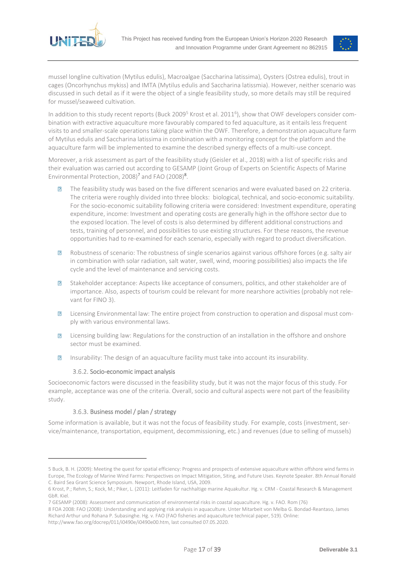



mussel longline cultivation (Mytilus edulis), Macroalgae (Saccharina latissima), Oysters (Ostrea edulis), trout in cages (Oncorhynchus mykiss) and IMTA (Mytilus edulis and Saccharina latissmia). However, neither scenario was discussed in such detail as if it were the object of a single feasibility study, so more details may still be required for mussel/seaweed cultivation.

In addition to this study recent reports (Buck 2009<sup>5</sup> Krost et al. 2011<sup>6</sup>), show that OWF developers consider combination with extractive aquaculture more favourably compared to fed aquaculture, as it entails less frequent visits to and smaller-scale operations taking place within the OWF. Therefore, a demonstration aquaculture farm of Mytilus edulis and Saccharina latissima in combination with a monitoring concept for the platform and the aquaculture farm will be implemented to examine the described synergy effects of a multi-use concept.

Moreover, a risk assessment as part of the feasibility study (Geisler et al., 2018) with a list of specific risks and their evaluation was carried out according to GESAMP (Joint Group of Experts on Scientific Aspects of Marine Environmental Protection, 2008)<sup>7</sup> and FAO (2008)<sup>8</sup>.

- $\overline{R}$ The feasibility study was based on the five different scenarios and were evaluated based on 22 criteria. The criteria were roughly divided into three blocks: biological, technical, and socio-economic suitability. For the socio-economic suitability following criteria were considered: Investment expenditure, operating expenditure, income: Investment and operating costs are generally high in the offshore sector due to the exposed location. The level of costs is also determined by different additional constructions and tests, training of personnel, and possibilities to use existing structures. For these reasons, the revenue opportunities had to re-examined for each scenario, especially with regard to product diversification.
- Robustness of scenario: The robustness of single scenarios against various offshore forces (e.g. salty air  $\overline{?}$ in combination with solar radiation, salt water, swell, wind, mooring possibilities) also impacts the life cycle and the level of maintenance and servicing costs.
- Stakeholder acceptance: Aspects like acceptance of consumers, politics, and other stakeholder are of  $\overline{R}$ importance. Also, aspects of tourism could be relevant for more nearshore activities (probably not relevant for FINO 3).
- Licensing Environmental law: The entire project from construction to operation and disposal must com- $\overline{R}$ ply with various environmental laws.
- Licensing building law: Regulations for the construction of an installation in the offshore and onshore  $\overline{R}$ sector must be examined.
- $\overline{R}$ Insurability: The design of an aquaculture facility must take into account its insurability.

#### 3.6.2. Socio-economic impact analysis

<span id="page-16-0"></span>Socioeconomic factors were discussed in the feasibility study, but it was not the major focus of this study. For example, acceptance was one of the criteria. Overall, socio and cultural aspects were not part of the feasibility study.

#### Business model / plan / strategy

 $\overline{a}$ 

<span id="page-16-1"></span>Some information is available, but it was not the focus of feasibility study. For example, costs (investment, service/maintenance, transportation, equipment, decommissioning, etc.) and revenues (due to selling of mussels)

<sup>5</sup> Buck, B. H. (2009): Meeting the quest for spatial efficiency: Progress and prospects of extensive aquaculture within offshore wind farms in Europe, The Ecology of Marine Wind Farms: Perspectives on Impact Mitigation, Siting, and Future Uses. Keynote Speaker. 8th Annual Ronald C. Baird Sea Grant Science Symposium. Newport, Rhode Island, USA, 2009.

<sup>6</sup> Krost, P.; Rehm, S.; Kock, M.; Piker, L. (2011): Leitfaden für nachhaltige marine Aquakultur. Hg. v. CRM - Coastal Research & Management GbR. Kiel.

<sup>7</sup> GESAMP (2008): Assessment and communication of environmental risks in coastal aquaculture. Hg. v. FAO. Rom (76)

<sup>8</sup> FOA 2008: FAO (2008): Understanding and applying risk analysis in aquaculture. Unter Mitarbeit von Melba G. Bondad-Reantaso, James Richard Arthur und Rohana P. Subasinghe. Hg. v. FAO (FAO fisheries and aquaculture technical paper, 519). Online:

http://www.fao.org/docrep/011/i0490e/i0490e00.htm, last consulted 07.05.2020.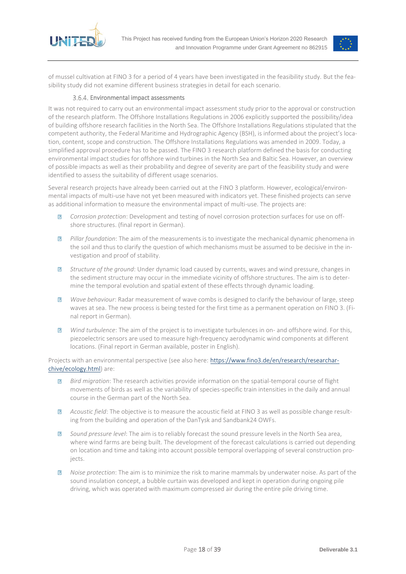



of mussel cultivation at FINO 3 for a period of 4 years have been investigated in the feasibility study. But the feasibility study did not examine different business strategies in detail for each scenario.

#### 3.6.4. Environmental impact assessments

<span id="page-17-0"></span>It was not required to carry out an environmental impact assessment study prior to the approval or construction of the research platform. The Offshore Installations Regulations in 2006 explicitly supported the possibility/idea of building offshore research facilities in the North Sea. The Offshore Installations Regulations stipulated that the competent authority, the Federal Maritime and Hydrographic Agency (BSH), is informed about the project's location, content, scope and construction. The Offshore Installations Regulations was amended in 2009. Today, a simplified approval procedure has to be passed. The FINO 3 research platform defined the basis for conducting environmental impact studies for offshore wind turbines in the North Sea and Baltic Sea. However, an overview of possible impacts as well as their probability and degree of severity are part of the feasibility study and were identified to assess the suitability of different usage scenarios.

Several research projects have already been carried out at the FINO 3 platform. However, ecological/environmental impacts of multi-use have not yet been measured with indicators yet. These finished projects can serve as additional information to measure the environmental impact of multi-use. The projects are:

- $\sqrt{2}$ *Corrosion protection*: Development and testing of novel corrosion protection surfaces for use on offshore structures. (final report in German).
- *Pillar foundation*: The aim of the measurements is to investigate the mechanical dynamic phenomena in  $\overline{R}$ the soil and thus to clarify the question of which mechanisms must be assumed to be decisive in the investigation and proof of stability.
- *Structure of the ground*: Under dynamic load caused by currents, waves and wind pressure, changes in  $\overline{R}$ the sediment structure may occur in the immediate vicinity of offshore structures. The aim is to determine the temporal evolution and spatial extent of these effects through dynamic loading.
- $\sqrt{2}$ *Wave behaviour*: Radar measurement of wave combs is designed to clarify the behaviour of large, steep waves at sea. The new process is being tested for the first time as a permanent operation on FINO 3. (Final report in German).
- *Wind turbulence*: The aim of the project is to investigate turbulences in on- and offshore wind. For this,  $\overline{D}$ piezoelectric sensors are used to measure high-frequency aerodynamic wind components at different locations. (Final report in German available, poster in English).

Projects with an environmental perspective (see also here: [https://www.fino3.de/en/research/researchar](https://www.fino3.de/en/research/researcharchive/ecology.html)[chive/ecology.html\)](https://www.fino3.de/en/research/researcharchive/ecology.html) are:

- $\sqrt{2}$ *Bird migration*: The research activities provide information on the spatial-temporal course of flight movements of birds as well as the variability of species-specific train intensities in the daily and annual course in the German part of the North Sea.
- *Acoustic field*: The objective is to measure the acoustic field at FINO 3 as well as possible change result- $\overline{R}$ ing from the building and operation of the DanTysk and Sandbank24 OWFs.
- *Sound pressure level*: The aim is to reliably forecast the sound pressure levels in the North Sea area,  $\overline{R}$ where wind farms are being built. The development of the forecast calculations is carried out depending on location and time and taking into account possible temporal overlapping of several construction projects.
- *Noise protection*: The aim is to minimize the risk to marine mammals by underwater noise. As part of the  $\overline{2}$ sound insulation concept, a bubble curtain was developed and kept in operation during ongoing pile driving, which was operated with maximum compressed air during the entire pile driving time.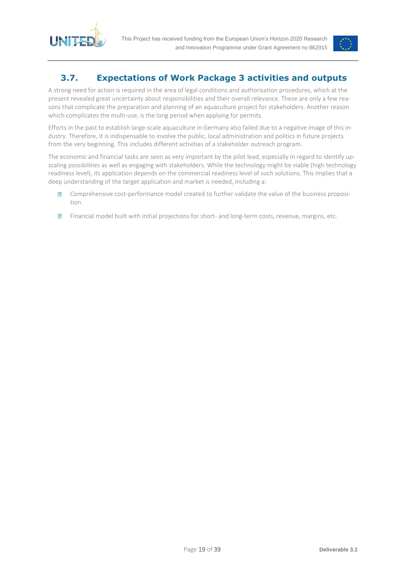



## <span id="page-18-0"></span>**3.7. Expectations of Work Package 3 activities and outputs**

A strong need for action is required in the area of legal conditions and authorisation procedures, which at the present revealed great uncertainty about responsibilities and their overall relevance. These are only a few reasons that complicate the preparation and planning of an aquaculture project for stakeholders. Another reason which complicates the multi-use, is the long period when applying for permits.

Efforts in the past to establish large-scale aquaculture in Germany also failed due to a negative image of this industry. Therefore, it is indispensable to involve the public, local administration and politics in future projects from the very beginning. This includes different activities of a stakeholder outreach program.

The economic and financial tasks are seen as very important by the pilot lead, especially in regard to identify upscaling possibilities as well as engaging with stakeholders. While the technology might be viable (high technology readiness level), its application depends on the commercial readiness level of such solutions. This implies that a deep understanding of the target application and market is needed, including a:

- Comprehensive cost-performance model created to further validate the value of the business proposi- $\sqrt{2}$ tion.
- $\sqrt{2}$ Financial model built with initial projections for short- and long-term costs, revenue, margins, etc.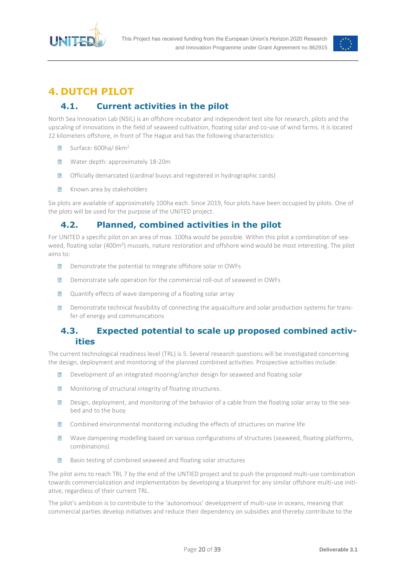



## <span id="page-19-0"></span>**4. DUTCH PILOT**

## **4.1. Current activities in the pilot**

<span id="page-19-1"></span>North Sea Innovation Lab (NSIL) is an offshore incubator and independent test site for research, pilots and the upscaling of innovations in the field of seaweed cultivation, floating solar and co-use of wind farms. It is located 12 kilometers offshore, in front of The Hague and has the following characteristics:

- Surface: 600ha/ 6km<sup>2</sup>  $\overline{R}$
- $\overline{R}$ Water depth: approximately 18-20m
- $\sqrt{ }$ Officially demarcated (cardinal buoys and registered in hydrographic cards)
- $\overline{R}$ Known area by stakeholders

Six plots are available of approximately 100ha each. Since 2019, four plots have been occupied by pilots. One of the plots will be used for the purpose of the UNITED project.

## <span id="page-19-2"></span>**4.2. Planned, combined activities in the pilot**

For UNITED a specific pilot on an area of max. 100ha would be possible. Within this pilot a combination of seaweed, floating solar (400m<sup>2</sup>) mussels, nature restoration and offshore wind would be most interesting. The pilot aims to:

- $\sqrt{2}$ Demonstrate the potential to integrate offshore solar in OWFs
- Demonstrate safe operation for the commercial roll-out of seaweed in OWFs  $\overline{R}$
- Quantify effects of wave dampening of a floating solar array  $\overline{?}$
- $\sqrt{2}$ Demonstrate technical feasibility of connecting the aquaculture and solar production systems for transfer of energy and communications

### <span id="page-19-3"></span>**4.3. Expected potential to scale up proposed combined activities**

The current technological readiness level (TRL) is 5. Several research questions will be investigated concerning the design, deployment and monitoring of the planned combined activities. Prospective activities include:

- Development of an integrated mooring/anchor design for seaweed and floating solar  $\overline{R}$
- $\overline{R}$ Monitoring of structural integrity of floating structures.
- Design, deployment, and monitoring of the behavior of a cable from the floating solar array to the sea- $\overline{R}$ bed and to the buoy
- $\overline{?}$ Combined environmental monitoring including the effects of structures on marine life
- $\overline{R}$ Wave dampening modelling based on various configurations of structures (seaweed, floating platforms, combinations)
- Basin testing of combined seaweed and floating solar structures  $\overline{R}$

The pilot aims to reach TRL 7 by the end of the UNTIED project and to push the proposed multi-use combination towards commercialization and implementation by developing a blueprint for any similar offshore multi-use initiative, regardless of their current TRL.

The pilot's ambition is to contribute to the 'autonomous' development of multi-use in oceans, meaning that commercial parties develop initiatives and reduce their dependency on subsidies and thereby contribute to the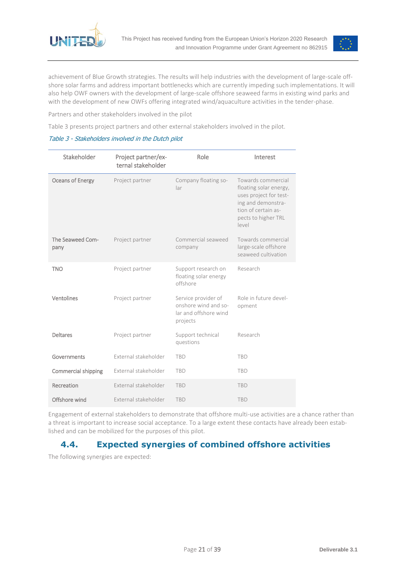

<span id="page-20-1"></span>

achievement of Blue Growth strategies. The results will help industries with the development of large-scale offshore solar farms and address important bottlenecks which are currently impeding such implementations. It will also help OWF owners with the development of large-scale offshore seaweed farms in existing wind parks and with the development of new OWFs offering integrated wind/aquaculture activities in the tender-phase.

Partners and other stakeholders involved in the pilo[t](#page-20-1) 

[Table 3](#page-20-1) presents project partners and other external stakeholders involved in the pilot.

#### Table 3 - Stakeholders involved in the Dutch pilot

| Stakeholder                | Project partner/ex-<br>ternal stakeholder | Role                                                                             | Interest                                                                                                                                               |
|----------------------------|-------------------------------------------|----------------------------------------------------------------------------------|--------------------------------------------------------------------------------------------------------------------------------------------------------|
| Oceans of Energy           | Project partner                           | Company floating so-<br>lar                                                      | Towards commercial<br>floating solar energy,<br>uses project for test-<br>ing and demonstra-<br>tion of certain as-<br>pects to higher TRL<br>$ $ evel |
| The Seaweed Com-<br>pany   | Project partner                           | Commercial seaweed<br>company                                                    | Towards commercial<br>large-scale offshore<br>seaweed cultivation                                                                                      |
| <b>TNO</b>                 | Project partner                           | Support research on<br>floating solar energy<br>offshore                         | Research                                                                                                                                               |
| Ventolines                 | Project partner                           | Service provider of<br>onshore wind and so-<br>lar and offshore wind<br>projects | Role in future devel-<br>opment                                                                                                                        |
| <b>Deltares</b>            | Project partner                           | Support technical<br>questions                                                   | Research                                                                                                                                               |
| Governments                | External stakeholder                      | <b>TBD</b>                                                                       | <b>TBD</b>                                                                                                                                             |
| <b>Commercial shipping</b> | External stakeholder                      | <b>TBD</b>                                                                       | <b>TBD</b>                                                                                                                                             |
| Recreation                 | External stakeholder                      | <b>TBD</b>                                                                       | <b>TBD</b>                                                                                                                                             |
| Offshore wind              | External stakeholder                      | <b>TBD</b>                                                                       | <b>TBD</b>                                                                                                                                             |

Engagement of external stakeholders to demonstrate that offshore multi-use activities are a chance rather than a threat is important to increase social acceptance. To a large extent these contacts have already been established and can be mobilized for the purposes of this pilot.

## <span id="page-20-0"></span>**4.4. Expected synergies of combined offshore activities**

The following synergies are expected: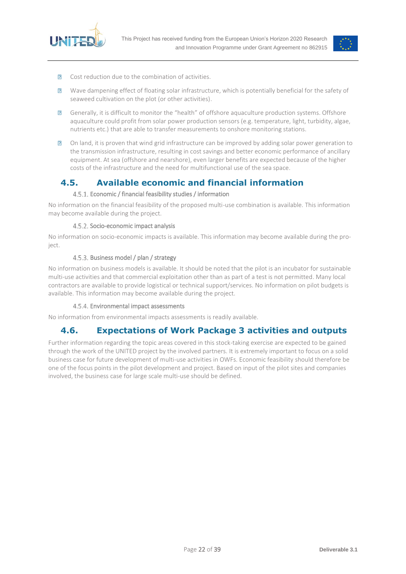



- $\overline{R}$ Cost reduction due to the combination of activities.
- $\overline{R}$ Wave dampening effect of floating solar infrastructure, which is potentially beneficial for the safety of seaweed cultivation on the plot (or other activities).
- Generally, it is difficult to monitor the "health" of offshore aquaculture production systems. Offshore  $\overline{R}$ aquaculture could profit from solar power production sensors (e.g. temperature, light, turbidity, algae, nutrients etc.) that are able to transfer measurements to onshore monitoring stations.
- On land, it is proven that wind grid infrastructure can be improved by adding solar power generation to  $\overline{R}$ the transmission infrastructure, resulting in cost savings and better economic performance of ancillary equipment. At sea (offshore and nearshore), even larger benefits are expected because of the higher costs of the infrastructure and the need for multifunctional use of the sea space.

### <span id="page-21-0"></span>**4.5. Available economic and financial information**

#### Economic / financial feasibility studies / information

<span id="page-21-1"></span>No information on the financial feasibility of the proposed multi-use combination is available. This information may become available during the project.

#### 4.5.2. Socio-economic impact analysis

<span id="page-21-2"></span>No information on socio-economic impacts is available. This information may become available during the project.

#### 4.5.3. Business model / plan / strategy

<span id="page-21-3"></span>No information on business models is available. It should be noted that the pilot is an incubator for sustainable multi-use activities and that commercial exploitation other than as part of a test is not permitted. Many local contractors are available to provide logistical or technical support/services. No information on pilot budgets is available. This information may become available during the project.

#### 4.5.4. Environmental impact assessments

<span id="page-21-5"></span><span id="page-21-4"></span>No information from environmental impacts assessments is readily available.

## **4.6. Expectations of Work Package 3 activities and outputs**

Further information regarding the topic areas covered in this stock-taking exercise are expected to be gained through the work of the UNITED project by the involved partners. It is extremely important to focus on a solid business case for future development of multi-use activities in OWFs. Economic feasibility should therefore be one of the focus points in the pilot development and project. Based on input of the pilot sites and companies involved, the business case for large scale multi-use should be defined.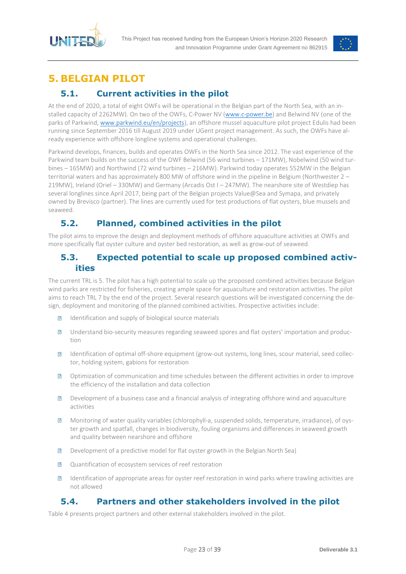



## <span id="page-22-0"></span>**5. BELGIAN PILOT**

## **5.1. Current activities in the pilot**

<span id="page-22-1"></span>At the end of 2020, a total of eight OWFs will be operational in the Belgian part of the North Sea, with an installed capacity of 2262MW). On two of the OWFs, C-Power NV [\(www.c-power.be\)](http://www.c-power.be/) and Belwind NV (one of the parks of Parkwind, [www.parkwind.eu/en/projects\)](http://www.parkwind.eu/en/projects), an offshore mussel aquaculture pilot project Edulis had been running since September 2016 till August 2019 under UGent project management. As such, the OWFs have already experience with offshore longline systems and operational challenges.

Parkwind develops, finances, builds and operates OWFs in the North Sea since 2012. The vast experience of the Parkwind team builds on the success of the OWF Belwind (56 wind turbines – 171MW), Nobelwind (50 wind turbines – 165MW) and Northwind (72 wind turbines – 216MW). Parkwind today operates 552MW in the Belgian territorial waters and has approximately 800 MW of offshore wind in the pipeline in Belgium (Northwester 2 – 219MW), Ireland (Oriel – 330MW) and Germany (Arcadis Ost I – 247MW). The nearshore site of Westdiep has several longlines since April 2017, being part of the Belgian projects Value@Sea and Symapa, and privately owned by Brevisco (partner). The lines are currently used for test productions of flat oysters, blue mussels and seaweed.

## <span id="page-22-2"></span>**5.2. Planned, combined activities in the pilot**

The pilot aims to improve the design and deployment methods of offshore aquaculture activities at OWFs and more specifically flat oyster culture and oyster bed restoration, as well as grow-out of seaweed.

### <span id="page-22-3"></span>**5.3. Expected potential to scale up proposed combined activities**

The current TRL is 5. The pilot has a high potential to scale up the proposed combined activities because Belgian wind parks are restricted for fisheries, creating ample space for aquaculture and restoration activities. The pilot aims to reach TRL 7 by the end of the project. Several research questions will be investigated concerning the design, deployment and monitoring of the planned combined activities. Prospective activities include:

- $\sqrt{2}$ Identification and supply of biological source materials
- Understand bio-security measures regarding seaweed spores and flat oysters' importation and produc- $\overline{R}$ tion
- $\overline{R}$ Identification of optimal off-shore equipment (grow-out systems, long lines, scour material, seed collector, holding system, gabions for restoration
- $\overline{R}$ Optimization of communication and time schedules between the different activities in order to improve the efficiency of the installation and data collection
- Development of a business case and a financial analysis of integrating offshore wind and aquaculture  $\overline{R}$ activities
- $\overline{?}$ Monitoring of water quality variables (chlorophyll-a, suspended solids, temperature, irradiance), of oyster growth and spatfall, changes in biodiversity, fouling organisms and differences in seaweed growth and quality between nearshore and offshore
- Development of a predictive model for flat oyster growth in the Belgian North Sea)  $\overline{R}$
- Quantification of ecosystem services of reef restoration  $\overline{R}$
- Identification of appropriate areas for oyster reef restoration in wind parks where trawling activities are  $\overline{R}$ not allowed

### **5.4. Partners and other stakeholders involved in the pilot**

<span id="page-22-4"></span>[Table 4](#page-23-3) presents project partners and other external stakeholders involved in the pilot.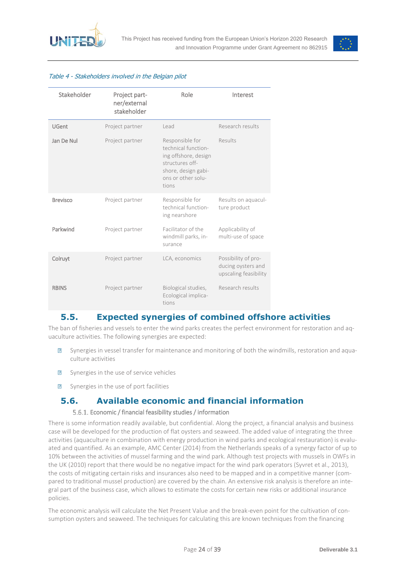



#### <span id="page-23-3"></span>Table 4 - Stakeholders involved in the Belgian pilot

| Stakeholder     | Project part-<br>ner/external<br>stakeholder | Role                                                                                                                                    | Interest                                                           |
|-----------------|----------------------------------------------|-----------------------------------------------------------------------------------------------------------------------------------------|--------------------------------------------------------------------|
| <b>UGent</b>    | Project partner                              | Lead                                                                                                                                    | Research results                                                   |
| Jan De Nul      | Project partner                              | Responsible for<br>technical function-<br>ing offshore, design<br>structures off-<br>shore, design gabi-<br>ons or other solu-<br>tions | Results                                                            |
| <b>Brevisco</b> | Project partner                              | Responsible for<br>technical function-<br>ing nearshore                                                                                 | Results on aquacul-<br>ture product                                |
| Parkwind        | Project partner                              | Facilitator of the<br>windmill parks, in-<br>surance                                                                                    | Applicability of<br>multi-use of space                             |
| Colruyt         | Project partner                              | LCA, economics                                                                                                                          | Possibility of pro-<br>ducing oysters and<br>upscaling feasibility |
| <b>RBINS</b>    | Project partner                              | Biological studies,<br>Ecological implica-<br>tions                                                                                     | Research results                                                   |

### <span id="page-23-0"></span>**5.5. Expected synergies of combined offshore activities**

The ban of fisheries and vessels to enter the wind parks creates the perfect environment for restoration and aquaculture activities. The following synergies are expected:

- Synergies in vessel transfer for maintenance and monitoring of both the windmills, restoration and aqua- $\overline{R}$ culture activities
- Synergies in the use of service vehicles  $\overline{R}$
- Synergies in the use of port facilities  $\overline{R}$

### <span id="page-23-1"></span>**5.6. Available economic and financial information**

#### Economic / financial feasibility studies / information

<span id="page-23-2"></span>There is some information readily available, but confidential. Along the project, a financial analysis and business case will be developed for the production of flat oysters and seaweed. The added value of integrating the three activities (aquaculture in combination with energy production in wind parks and ecological restauration) is evaluated and quantified. As an example, AMC Center (2014) from the Netherlands speaks of a synergy factor of up to 10% between the activities of mussel farming and the wind park. Although test projects with mussels in OWFs in the UK (2010) report that there would be no negative impact for the wind park operators (Syvret et al., 2013), the costs of mitigating certain risks and insurances also need to be mapped and in a competitive manner (compared to traditional mussel production) are covered by the chain. An extensive risk analysis is therefore an integral part of the business case, which allows to estimate the costs for certain new risks or additional insurance policies.

The economic analysis will calculate the Net Present Value and the break-even point for the cultivation of consumption oysters and seaweed. The techniques for calculating this are known techniques from the financing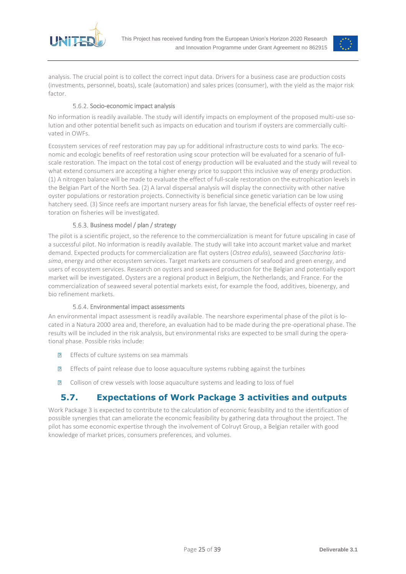



analysis. The crucial point is to collect the correct input data. Drivers for a business case are production costs (investments, personnel, boats), scale (automation) and sales prices (consumer), with the yield as the major risk factor

#### 5.6.2. Socio-economic impact analysis

<span id="page-24-0"></span>No information is readily available. The study will identify impacts on employment of the proposed multi-use solution and other potential benefit such as impacts on education and tourism if oysters are commercially cultivated in OWFs.

Ecosystem services of reef restoration may pay up for additional infrastructure costs to wind parks. The economic and ecologic benefits of reef restoration using scour protection will be evaluated for a scenario of fullscale restoration. The impact on the total cost of energy production will be evaluated and the study will reveal to what extend consumers are accepting a higher energy price to support this inclusive way of energy production. (1) A nitrogen balance will be made to evaluate the effect of full-scale restoration on the eutrophication levels in the Belgian Part of the North Sea. (2) A larval dispersal analysis will display the connectivity with other native oyster populations or restoration projects. Connectivity is beneficial since genetic variation can be low using hatchery seed. (3) Since reefs are important nursery areas for fish larvae, the beneficial effects of oyster reef restoration on fisheries will be investigated.

#### Business model / plan / strategy

<span id="page-24-1"></span>The pilot is a scientific project, so the reference to the commercialization is meant for future upscaling in case of a successful pilot. No information is readily available. The study will take into account market value and market demand. Expected products for commercialization are flat oysters (*Ostrea edulis*), seaweed (*Saccharina latissima*, energy and other ecosystem services. Target markets are consumers of seafood and green energy, and users of ecosystem services. Research on oysters and seaweed production for the Belgian and potentially export market will be investigated. Oysters are a regional product in Belgium, the Netherlands, and France. For the commercialization of seaweed several potential markets exist, for example the food, additives, bioenergy, and bio refinement markets.

#### Environmental impact assessments

<span id="page-24-2"></span>An environmental impact assessment is readily available. The nearshore experimental phase of the pilot is located in a Natura 2000 area and, therefore, an evaluation had to be made during the pre-operational phase. The results will be included in the risk analysis, but environmental risks are expected to be small during the operational phase. Possible risks include:

- **Effects of culture systems on sea mammals**
- Effects of paint release due to loose aquaculture systems rubbing against the turbines  $\overline{?}$
- $\sqrt{2}$ Collison of crew vessels with loose aquaculture systems and leading to loss of fuel

## **5.7. Expectations of Work Package 3 activities and outputs**

<span id="page-24-3"></span>Work Package 3 is expected to contribute to the calculation of economic feasibility and to the identification of possible synergies that can ameliorate the economic feasibility by gathering data throughout the project. The pilot has some economic expertise through the involvement of Colruyt Group, a Belgian retailer with good knowledge of market prices, consumers preferences, and volumes.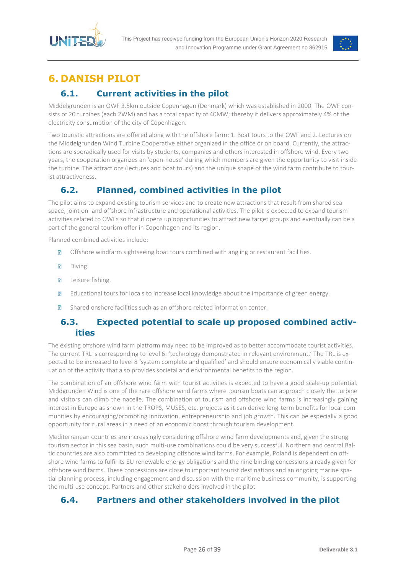



## <span id="page-25-0"></span>**6. DANISH PILOT**

## **6.1. Current activities in the pilot**

<span id="page-25-1"></span>Middelgrunden is an OWF 3.5km outside Copenhagen (Denmark) which was established in 2000. The OWF consists of 20 turbines (each 2WM) and has a total capacity of 40MW; thereby it delivers approximately 4% of the electricity consumption of the city of Copenhagen.

Two touristic attractions are offered along with the offshore farm: 1. Boat tours to the OWF and 2. Lectures on the Middelgrunden Wind Turbine Cooperative either organized in the office or on board. Currently, the attractions are sporadically used for visits by students, companies and others interested in offshore wind. Every two years, the cooperation organizes an 'open-house' during which members are given the opportunity to visit inside the turbine. The attractions (lectures and boat tours) and the unique shape of the wind farm contribute to tourist attractiveness.

## <span id="page-25-2"></span>**6.2. Planned, combined activities in the pilot**

The pilot aims to expand existing tourism services and to create new attractions that result from shared sea space, joint on- and offshore infrastructure and operational activities. The pilot is expected to expand tourism activities related to OWFs so that it opens up opportunities to attract new target groups and eventually can be a part of the general tourism offer in Copenhagen and its region.

Planned combined activities include:

- $\overline{D}$ Offshore windfarm sightseeing boat tours combined with angling or restaurant facilities.
- $\sqrt{2}$ Diving.
- Leisure fishing.  $\sqrt{2}$
- Educational tours for locals to increase local knowledge about the importance of green energy.  $\overline{R}$
- $\sqrt{2}$ Shared onshore facilities such as an offshore related information center.

### <span id="page-25-3"></span>**6.3. Expected potential to scale up proposed combined activities**

The existing offshore wind farm platform may need to be improved as to better accommodate tourist activities. The current TRL is corresponding to level 6: 'technology demonstrated in relevant environment.' The TRL is expected to be increased to level 8 'system complete and qualified' and should ensure economically viable continuation of the activity that also provides societal and environmental benefits to the region.

The combination of an offshore wind farm with tourist activities is expected to have a good scale-up potential. Middgrunden Wind is one of the rare offshore wind farms where tourism boats can approach closely the turbine and visitors can climb the nacelle. The combination of tourism and offshore wind farms is increasingly gaining interest in Europe as shown in the TROPS, MUSES, etc. projects as it can derive long-term benefits for local communities by encouraging/promoting innovation, entrepreneurship and job growth. This can be especially a good opportunity for rural areas in a need of an economic boost through tourism development.

Mediterranean countries are increasingly considering offshore wind farm developments and, given the strong tourism sector in this sea basin, such multi-use combinations could be very successful. Northern and central Baltic countries are also committed to developing offshore wind farms. For example, Poland is dependent on offshore wind farms to fulfil its EU renewable energy obligations and the nine binding concessions already given for offshore wind farms. These concessions are close to important tourist destinations and an ongoing marine spatial planning process, including engagement and discussion with the maritime business community, is supporting the multi-use concept. Partners and other stakeholders involved in the pilot

### <span id="page-25-4"></span>**6.4. Partners and other stakeholders involved in the pilot**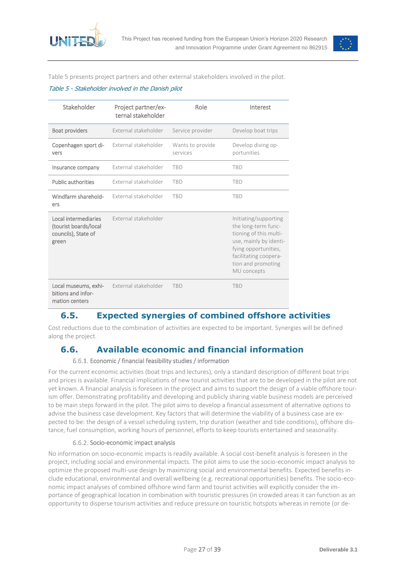



[Table 5](#page-26-4) presents project partners and other external stakeholders involved in the pilot.

#### <span id="page-26-4"></span>Table 5 - Stakeholder involved in the Danish pilot

| Stakeholder                                                                   | Project partner/ex-<br>ternal stakeholder | Role                         | Interest                                                                                                                                                                               |
|-------------------------------------------------------------------------------|-------------------------------------------|------------------------------|----------------------------------------------------------------------------------------------------------------------------------------------------------------------------------------|
| <b>Boat providers</b>                                                         | External stakeholder                      | Service provider             | Develop boat trips                                                                                                                                                                     |
| Copenhagen sport di-<br>vers                                                  | External stakeholder                      | Wants to provide<br>services | Develop diving op-<br>portunities                                                                                                                                                      |
| Insurance company                                                             | External stakeholder                      | <b>TBD</b>                   | <b>TBD</b>                                                                                                                                                                             |
| <b>Public authorities</b>                                                     | External stakeholder                      | <b>TBD</b>                   | <b>TBD</b>                                                                                                                                                                             |
| Windfarm sharehold-<br>ers                                                    | External stakeholder                      | <b>TBD</b>                   | <b>TBD</b>                                                                                                                                                                             |
| Local intermediaries<br>(tourist boards/local<br>councils), State of<br>green | External stakeholder                      |                              | Initiating/supporting<br>the long-term func-<br>tioning of this multi-<br>use, mainly by identi-<br>fying opportunities,<br>facilitating coopera-<br>tion and promoting<br>MU concepts |
| Local museums, exhi-<br>bitions and infor-<br>mation centers                  | External stakeholder                      | <b>TBD</b>                   | <b>TBD</b>                                                                                                                                                                             |

## <span id="page-26-0"></span>**6.5. Expected synergies of combined offshore activities**

Cost reductions due to the combination of activities are expected to be important. Synergies will be defined along the project.

### <span id="page-26-1"></span>**6.6. Available economic and financial information**

#### Economic / financial feasibility studies / information

<span id="page-26-2"></span>For the current economic activities (boat trips and lectures), only a standard description of different boat trips and prices is available. Financial implications of new tourist activities that are to be developed in the pilot are not yet known. A financial analysis is foreseen in the project and aims to support the design of a viable offshore tourism offer. Demonstrating profitability and developing and publicly sharing viable business models are perceived to be main steps forward in the pilot. The pilot aims to develop a financial assessment of alternative options to advise the business case development. Key factors that will determine the viability of a business case are expected to be: the design of a vessel scheduling system, trip duration (weather and tide conditions), offshore distance, fuel consumption, working hours of personnel, efforts to keep tourists entertained and seasonality.

#### 6.6.2. Socio-economic impact analysis

<span id="page-26-3"></span>No information on socio-economic impacts is readily available. A social cost-benefit analysis is foreseen in the project, including social and environmental impacts. The pilot aims to use the socio-economic impact analysis to optimize the proposed multi-use design by maximizing social and environmental benefits. Expected benefits include educational, environmental and overall wellbeing (e.g. recreational opportunities) benefits. The socio-economic impact analyses of combined offshore wind farm and tourist activities will explicitly consider the importance of geographical location in combination with touristic pressures (in crowded areas it can function as an opportunity to disperse tourism activities and reduce pressure on touristic hotspots whereas in remote (or de-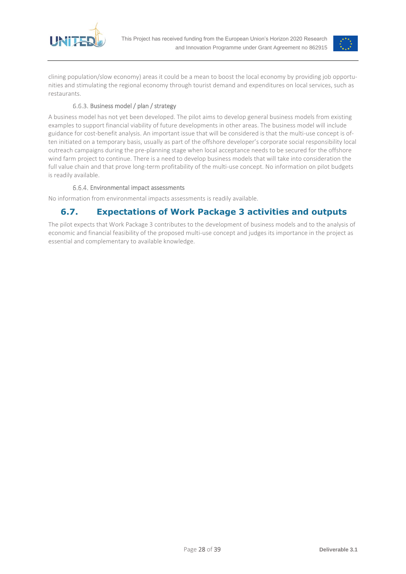



clining population/slow economy) areas it could be a mean to boost the local economy by providing job opportunities and stimulating the regional economy through tourist demand and expenditures on local services, such as restaurants.

#### 6.6.3. Business model / plan / strategy

<span id="page-27-0"></span>A business model has not yet been developed. The pilot aims to develop general business models from existing examples to support financial viability of future developments in other areas. The business model will include guidance for cost-benefit analysis. An important issue that will be considered is that the multi-use concept is often initiated on a temporary basis, usually as part of the offshore developer's corporate social responsibility local outreach campaigns during the pre-planning stage when local acceptance needs to be secured for the offshore wind farm project to continue. There is a need to develop business models that will take into consideration the full value chain and that prove long-term profitability of the multi-use concept. No information on pilot budgets is readily available.

#### Environmental impact assessments

<span id="page-27-2"></span><span id="page-27-1"></span>No information from environmental impacts assessments is readily available.

### **6.7. Expectations of Work Package 3 activities and outputs**

The pilot expects that Work Package 3 contributes to the development of business models and to the analysis of economic and financial feasibility of the proposed multi-use concept and judges its importance in the project as essential and complementary to available knowledge.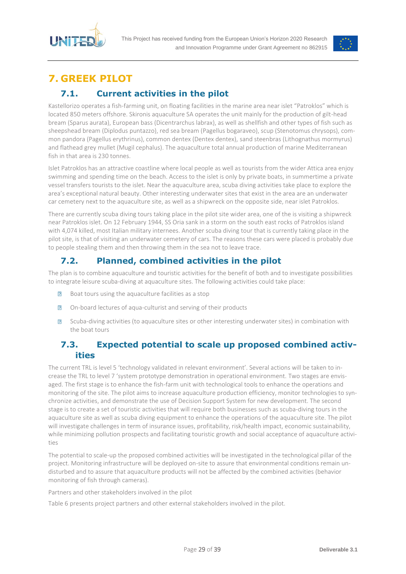



## <span id="page-28-0"></span>**7. GREEK PILOT**

## **7.1. Current activities in the pilot**

<span id="page-28-1"></span>Kastellorizo operates a fish-farming unit, on floating facilities in the marine area near islet "Patroklos" which is located 850 meters offshore. Skironis aquaculture SA operates the unit mainly for the production of gilt-head bream (Sparus aurata), European bass (Dicentrarchus labrax), as well as shellfish and other types of fish such as sheepshead bream (Diplodus puntazzo), red sea bream (Pagellus bogaraveo), scup (Stenotomus chrysops), common pandora (Pagellus erythrinus), common dentex (Dentex dentex), sand steenbras (Lithognathus mormyrus) and flathead grey mullet (Mugil cephalus). The aquaculture total annual production of marine Mediterranean fish in that area is 230 tonnes.

Islet Patroklos has an attractive coastline where local people as well as tourists from the wider Attica area enjoy swimming and spending time on the beach. Access to the islet is only by private boats, in summertime a private vessel transfers tourists to the islet. Near the aquaculture area, scuba diving activities take place to explore the area's exceptional natural beauty. Other interesting underwater sites that exist in the area are an underwater car cemetery next to the aquaculture site, as well as a shipwreck on the opposite side, near islet Patroklos.

There are currently scuba diving tours taking place in the pilot site wider area, one of the is visiting a shipwreck near Patroklos islet. On 12 February 1944, SS Oria sank in a storm on the south east rocks of Patroklos island with 4,074 killed, most Italian military internees. Another scuba diving tour that is currently taking place in the pilot site, is that of visiting an underwater cemetery of cars. The reasons these cars were placed is probably due to people stealing them and then throwing them in the sea not to leave trace.

## **7.2. Planned, combined activities in the pilot**

<span id="page-28-2"></span>The plan is to combine aquaculture and touristic activities for the benefit of both and to investigate possibilities to integrate leisure scuba-diving at aquaculture sites. The following activities could take place:

- Boat tours using the aquaculture facilities as a stop  $\overline{R}$
- $\overline{R}$ On-board lectures of aqua-culturist and serving of their products
- Scuba-diving activities (to aquaculture sites or other interesting underwater sites) in combination with  $\overline{R}$ the boat tours

## <span id="page-28-3"></span>**7.3. Expected potential to scale up proposed combined activities**

The current TRL is level 5 'technology validated in relevant environment'. Several actions will be taken to increase the TRL to level 7 'system prototype demonstration in operational environment. Two stages are envisaged. The first stage is to enhance the fish-farm unit with technological tools to enhance the operations and monitoring of the site. The pilot aims to increase aquaculture production efficiency, monitor technologies to synchronize activities, and demonstrate the use of Decision Support System for new development. The second stage is to create a set of touristic activities that will require both businesses such as scuba-diving tours in the aquaculture site as well as scuba diving equipment to enhance the operations of the aquaculture site. The pilot will investigate challenges in term of insurance issues, profitability, risk/health impact, economic sustainability, while minimizing pollution prospects and facilitating touristic growth and social acceptance of aquaculture activities

The potential to scale-up the proposed combined activities will be investigated in the technological pillar of the project. Monitoring infrastructure will be deployed on-site to assure that environmental conditions remain undisturbed and to assure that aquaculture products will not be affected by the combined activities (behavior monitoring of fish through cameras).

Partners and other stakeholders involved in the pilo[t](#page-28-4)

<span id="page-28-4"></span>[Table 6](#page-28-4) presents project partners and other external stakeholders involved in the pilot.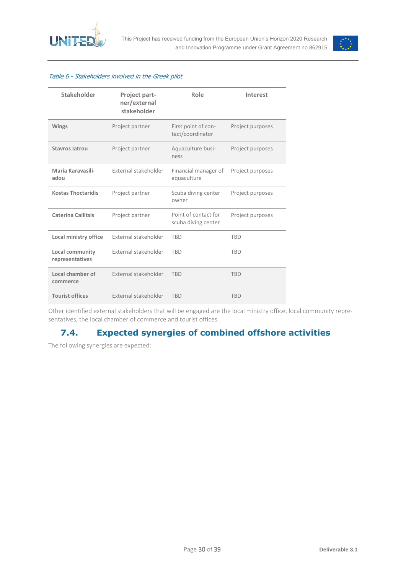



#### Table 6 - Stakeholders involved in the Greek pilot

| Stakeholder                                       | <b>Project part-</b><br>ner/external<br>stakeholder | Role                                        | Interest         |
|---------------------------------------------------|-----------------------------------------------------|---------------------------------------------|------------------|
| <b>Wings</b>                                      | Project partner                                     |                                             | Project purposes |
| <b>Stavros latrou</b>                             | Project partner                                     |                                             | Project purposes |
| Maria Karavasili-<br>External stakeholder<br>adou |                                                     | Financial manager of<br>aquaculture         | Project purposes |
| <b>Kostas Thoctaridis</b><br>Project partner      |                                                     | Scuba diving center<br>owner                | Project purposes |
| <b>Caterina Callitsis</b><br>Project partner      |                                                     | Point of contact for<br>scuba diving center | Project purposes |
| Local ministry office                             | External stakeholder                                | <b>TBD</b>                                  | <b>TBD</b>       |
| <b>Local community</b><br>representatives         | External stakeholder                                | <b>TBD</b>                                  | <b>TBD</b>       |
| Local chamber of<br>commerce                      | External stakeholder                                | <b>TRD</b>                                  | <b>TBD</b>       |
| <b>Tourist offices</b>                            | External stakeholder                                | <b>TRD</b>                                  | <b>TRD</b>       |

Other identified external stakeholders that will be engaged are the local ministry office, local community representatives, the local chamber of commerce and tourist offices.

## **7.4. Expected synergies of combined offshore activities**

<span id="page-29-0"></span>The following synergies are expected: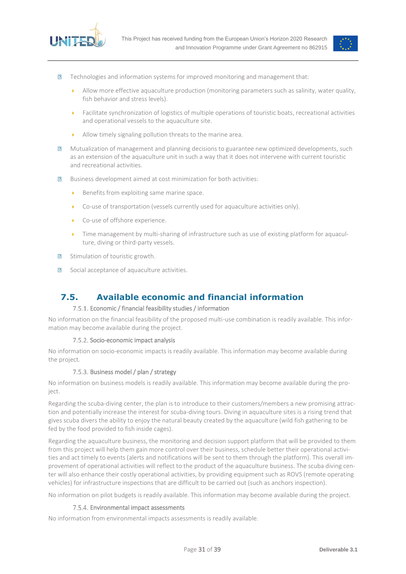



- $\overline{R}$ Technologies and information systems for improved monitoring and management that:
	- Allow more effective aquaculture production (monitoring parameters such as salinity, water quality, fish behavior and stress levels).
	- Facilitate synchronization of logistics of multiple operations of touristic boats, recreational activities and operational vessels to the aquaculture site.
	- Allow timely signaling pollution threats to the marine area.
- Mutualization of management and planning decisions to guarantee new optimized developments, such  $\overline{R}$ as an extension of the aquaculture unit in such a way that it does not intervene with current touristic and recreational activities.
- Business development aimed at cost minimization for both activities:  $\overline{D}$ 
	- $\triangleright$  Benefits from exploiting same marine space.
	- Co-use of transportation (vessels currently used for aquaculture activities only).
	- Co-use of offshore experience.
	- Time management by multi-sharing of infrastructure such as use of existing platform for aquaculture, diving or third-party vessels.
- $\overline{?}$ Stimulation of touristic growth.
- $\overline{R}$ Social acceptance of aquaculture activities.

### <span id="page-30-0"></span>**7.5. Available economic and financial information**

#### 7.5.1. Economic / financial feasibility studies / information

<span id="page-30-1"></span>No information on the financial feasibility of the proposed multi-use combination is readily available. This information may become available during the project.

#### 7.5.2. Socio-economic impact analysis

<span id="page-30-2"></span>No information on socio-economic impacts is readily available. This information may become available during the project.

#### 7.5.3. Business model / plan / strategy

<span id="page-30-3"></span>No information on business models is readily available. This information may become available during the project.

Regarding the scuba-diving center, the plan is to introduce to their customers/members a new promising attraction and potentially increase the interest for scuba-diving tours. Diving in aquaculture sites is a rising trend that gives scuba divers the ability to enjoy the natural beauty created by the aquaculture (wild fish gathering to be fed by the food provided to fish inside cages).

Regarding the aquaculture business, the monitoring and decision support platform that will be provided to them from this project will help them gain more control over their business, schedule better their operational activities and act timely to events (alerts and notifications will be sent to them through the platform). This overall improvement of operational activities will reflect to the product of the aquaculture business. The scuba diving center will also enhance their costly operational activities, by providing equipment such as ROVS (remote operating vehicles) for infrastructure inspections that are difficult to be carried out (such as anchors inspection).

No information on pilot budgets is readily available. This information may become available during the project.

#### 7.5.4. Environmental impact assessments

<span id="page-30-4"></span>No information from environmental impacts assessments is readily available.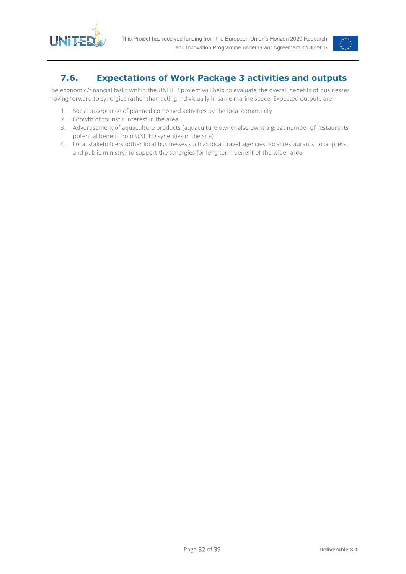



## <span id="page-31-0"></span>**7.6. Expectations of Work Package 3 activities and outputs**

The economic/financial tasks within the UNITED project will help to evaluate the overall benefits of businesses moving forward to synergies rather than acting individually in same marine space. Expected outputs are:

- 1. Social acceptance of planned combined activities by the local community
- 2. Growth of touristic interest in the area
- 3. Advertisement of aquaculture products (aquaculture owner also owns a great number of restaurants potential benefit from UNITED synergies in the site)
- 4. Local stakeholders (other local businesses such as local travel agencies, local restaurants, local press, and public ministry) to support the synergies for long term benefit of the wider area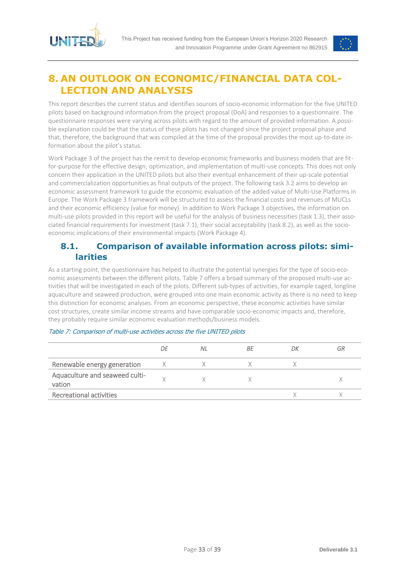



## <span id="page-32-0"></span>**8. AN OUTLOOK ON ECONOMIC/FINANCIAL DATA COL-LECTION AND ANALYSIS**

This report describes the current status and identifies sources of socio-economic information for the five UNITED pilots based on background information from the project proposal (DoA) and responses to a questionnaire. The questionnaire responses were varying across pilots with regard to the amount of provided information. A possible explanation could be that the status of these pilots has not changed since the project proposal phase and that, therefore, the background that was compiled at the time of the proposal provides the most up-to-date information about the pilot's status.

Work Package 3 of the project has the remit to develop economic frameworks and business models that are fitfor-purpose for the effective design, optimization, and implementation of multi-use concepts. This does not only concern their application in the UNITED pilots but also their eventual enhancement of their up-scale potential and commercialization opportunities as final outputs of the project. The following task 3.2 aims to develop an economic assessment framework to guide the economic evaluation of the added value of Multi-Use Platforms in Europe. The Work Package 3 framework will be structured to assess the financial costs and revenues of MUCLs and their economic efficiency (value for money). In addition to Work Package 3 objectives, the information on multi-use pilots provided in this report will be useful for the analysis of business necessities (task 1.3), their associated financial requirements for investment (task 7.1), their social acceptability (task 8.2), as well as the socioeconomic implications of their environmental impacts (Work Package 4).

### <span id="page-32-1"></span>**8.1. Comparison of available information across pilots: similarities**

As a starting point, the questionnaire has helped to illustrate the potential synergies for the type of socio-economic assessments between the different pilots. [Table 7](#page-32-2) offers a broad summary of the proposed multi-use activities that will be investigated in each of the pilots. Different sub-types of activities, for example caged, longline aquaculture and seaweed production, were grouped into one main economic activity as there is no need to keep this distinction for economic analyses. From an economic perspective, these economic activities have similar cost structures, create similar income streams and have comparable socio-economic impacts and, therefore, they probably require similar economic evaluation methods/business models.

|                                          | DΕ | ΝI | ВF | DΚ | GR |
|------------------------------------------|----|----|----|----|----|
| Renewable energy generation              |    |    |    |    |    |
| Aquaculture and seaweed culti-<br>vation |    |    |    |    |    |
| <b>Recreational activities</b>           |    |    |    |    |    |

#### <span id="page-32-2"></span>Table 7: Comparison of multi-use activities across the five UNITED pilots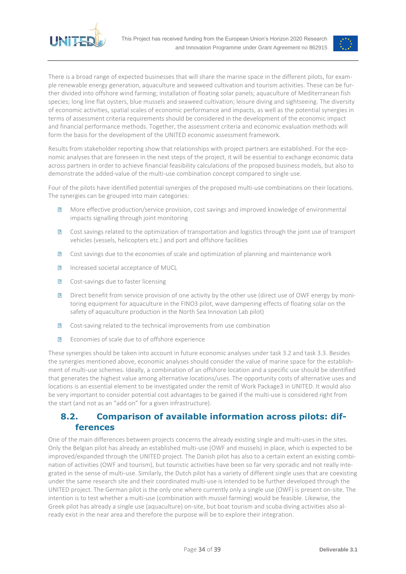



There is a broad range of expected businesses that will share the marine space in the different pilots, for example renewable energy generation, aquaculture and seaweed cultivation and tourism activities. These can be further divided into offshore wind farming; installation of floating solar panels; aquaculture of Mediterranean fish species; long line flat oysters, blue mussels and seaweed cultivation; leisure diving and sightseeing. The diversity of economic activities, spatial scales of economic performance and impacts, as well as the potential synergies in terms of assessment criteria requirements should be considered in the development of the economic impact and financial performance methods. Together, the assessment criteria and economic evaluation methods will form the basis for the development of the UNITED economic assessment framework.

Results from stakeholder reporting show that relationships with project partners are established. For the economic analyses that are foreseen in the next steps of the project, it will be essential to exchange economic data across partners in order to achieve financial feasibility calculations of the proposed business models, but also to demonstrate the added-value of the multi-use combination concept compared to single use.

Four of the pilots have identified potential synergies of the proposed multi-use combinations on their locations. The synergies can be grouped into main categories:

- $\overline{R}$ More effective production/service provision, cost savings and improved knowledge of environmental impacts signalling through joint monitoring
- $\sqrt{2}$ Cost savings related to the optimization of transportation and logistics through the joint use of transport vehicles (vessels, helicopters etc.) and port and offshore facilities
- Cost savings due to the economies of scale and optimization of planning and maintenance work  $\overline{R}$
- $\overline{?}$ Increased societal acceptance of MUCL
- $\overline{?}$ Cost-savings due to faster licensing
- $\overline{R}$ Direct benefit from service provision of one activity by the other use (direct use of OWF energy by monitoring equipment for aquaculture in the FINO3 pilot, wave dampening effects of floating solar on the safety of aquaculture production in the North Sea Innovation Lab pilot)
- Cost-saving related to the technical improvements from use combination  $\overline{R}$
- Economies of scale due to of offshore experience  $\overline{R}$

These synergies should be taken into account in future economic analyses under task 3.2 and task 3.3. Besides the synergies mentioned above, economic analyses should consider the value of marine space for the establishment of multi-use schemes. Ideally, a combination of an offshore location and a specific use should be identified that generates the highest value among alternative locations/uses. The opportunity costs of alternative uses and locations is an essential element to be investigated under the remit of Work Package3 in UNITED. It would also be very important to consider potential cost advantages to be gained if the multi-use is considered right from the start (and not as an "add on" for a given infrastructure).

## <span id="page-33-0"></span>**8.2. Comparison of available information across pilots: differences**

One of the main differences between projects concerns the already existing single and multi-uses in the sites. Only the Belgian pilot has already an established multi-use (OWF and mussels) in place, which is expected to be improved/expanded through the UNITED project. The Danish pilot has also to a certain extent an existing combination of activities (OWF and tourism), but touristic activities have been so far very sporadic and not really integrated in the sense of multi-use. Similarly, the Dutch pilot has a variety of different single uses that are coexisting under the same research site and their coordinated multi-use is intended to be further developed through the UNITED project. The German pilot is the only one where currently only a single use (OWF) is present on-site. The intention is to test whether a multi-use (combination with mussel farming) would be feasible. Likewise, the Greek pilot has already a single use (aquaculture) on-site, but boat tourism and scuba diving activities also already exist in the near area and therefore the purpose will be to explore their integration.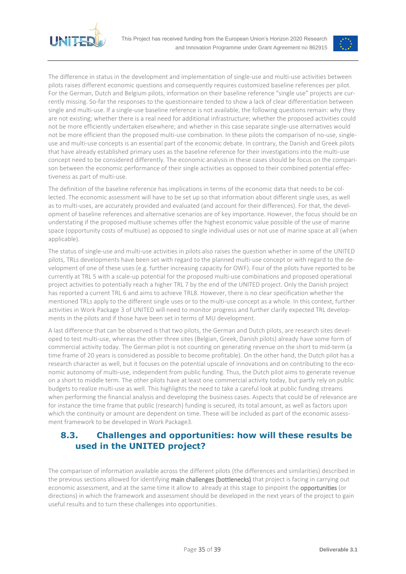



The difference in status in the development and implementation of single-use and multi-use activities between pilots raises different economic questions and consequently requires customized baseline references per pilot. For the German, Dutch and Belgium pilots, information on their baseline reference "single use" projects are currently missing. So-far the responses to the questionnaire tended to show a lack of clear differentiation between single and multi-use. If a single-use baseline reference is not available, the following questions remain: why they are not existing; whether there is a real need for additional infrastructure; whether the proposed activities could not be more efficiently undertaken elsewhere; and whether in this case separate single-use alternatives would not be more efficient than the proposed multi-use combination. In these pilots the comparison of no-use, singleuse and multi-use concepts is an essential part of the economic debate. In contrary, the Danish and Greek pilots that have already established primary uses as the baseline reference for their investigations into the multi-use concept need to be considered differently. The economic analysis in these cases should be focus on the comparison between the economic performance of their single activities as opposed to their combined potential effectiveness as part of multi-use.

The definition of the baseline reference has implications in terms of the economic data that needs to be collected. The economic assessment will have to be set up so that information about different single uses, as well as to multi-uses, are accurately provided and evaluated (and account for their differences). For that, the development of baseline references and alternative scenarios are of key importance. However, the focus should be on understating if the proposed multiuse schemes offer the highest economic value possible of the use of marine space (opportunity costs of multiuse) as opposed to single individual uses or not use of marine space at all (when applicable).

The status of single-use and multi-use activities in pilots also raises the question whether in some of the UNITED pilots, TRLs developments have been set with regard to the planned multi-use concept or with regard to the development of one of these uses (e.g. further increasing capacity for OWF). Four of the pilots have reported to be currently at TRL 5 with a scale-up potential for the proposed multi-use combinations and proposed operational project activities to potentially reach a higher TRL 7 by the end of the UNITED project. Only the Danish project has reported a current TRL 6 and aims to achieve TRL8. However, there is no clear specification whether the mentioned TRLs apply to the different single uses or to the multi-use concept as a whole. In this context, further activities in Work Package 3 of UNITED will need to monitor progress and further clarify expected TRL developments in the pilots and if those have been set in terms of MU development.

A last difference that can be observed is that two pilots, the German and Dutch pilots, are research sites developed to test multi-use, whereas the other three sites (Belgian, Greek, Danish pilots) already have some form of commercial activity today. The German pilot is not counting on generating revenue on the short to mid-term (a time frame of 20 years is considered as possible to become profitable). On the other hand, the Dutch pilot has a research character as well, but it focuses on the potential upscale of innovations and on contributing to the economic autonomy of multi-use, independent from public funding. Thus, the Dutch pilot aims to generate revenue on a short to middle term. The other pilots have at least one commercial activity today, but partly rely on public budgets to realize multi-use as well. This highlights the need to take a careful look at public funding streams when performing the financial analysis and developing the business cases. Aspects that could be of relevance are for instance the time frame that public (research) funding is secured, its total amount, as well as factors upon which the continuity or amount are dependent on time. These will be included as part of the economic assessment framework to be developed in Work Package3.

## <span id="page-34-0"></span>**8.3. Challenges and opportunities: how will these results be used in the UNITED project?**

The comparison of information available across the different pilots (the differences and similarities) described in the previous sections allowed for identifying main challenges (bottlenecks) that project is facing in carrying out economic assessment, and at the same time it allow to already at this stage to pinpoint the **opportunities** (or directions) in which the framework and assessment should be developed in the next years of the project to gain useful results and to turn these challenges into opportunities.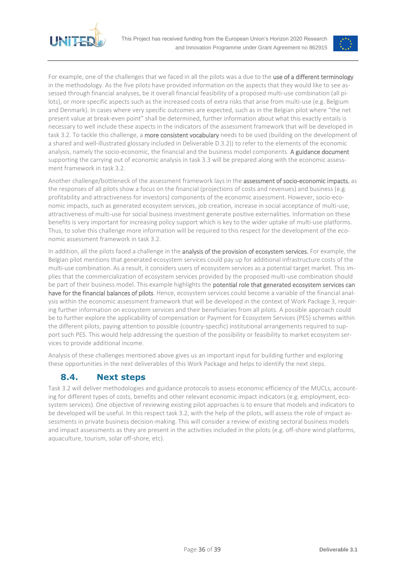



For example, one of the challenges that we faced in all the pilots was a due to the use of a different terminology in the methodology. As the five pilots have provided information on the aspects that they would like to see assessed through financial analyses, be it overall financial feasibility of a proposed multi-use combination (all pilots), or more specific aspects such as the increased costs of extra risks that arise from multi-use (e.g. Belgium and Denmark). In cases where very specific outcomes are expected, such as in the Belgian pilot where "the net present value at break-even point" shall be determined, further information about what this exactly entails is necessary to well include these aspects in the indicators of the assessment framework that will be developed in task 3.2. To tackle this challenge, a more consistent vocabulary needs to be used (building on the development of a shared and well-illustrated glossary included in Deliverable D.3.2)) to refer to the elements of the economic analysis, namely the socio-economic, the financial and the business model components. A guidance document supporting the carrying out of economic analysis in task 3.3 will be prepared along with the economic assessment framework in task 3.2.

Another challenge/bottleneck of the assessment framework lays in the assessment of socio-economic impacts, as the responses of all pilots show a focus on the financial (projections of costs and revenues) and business (e.g. profitability and attractiveness for investors) components of the economic assessment. However, socio-economic impacts, such as generated ecosystem services, job creation, increase in social acceptance of multi-use, attractiveness of multi-use for social business investment generate positive externalities. Information on these benefits is very important for increasing policy support which is key to the wider uptake of multi-use platforms. Thus, to solve this challenge more information will be required to this respect for the development of the economic assessment framework in task 3.2.

In addition, all the pilots faced a challenge in the analysis of the provision of ecosystem services. For example, the Belgian pilot mentions that generated ecosystem services could pay up for additional infrastructure costs of the multi-use combination. As a result, it considers users of ecosystem services as a potential target market. This implies that the commercialization of ecosystem services provided by the proposed multi-use combination should be part of their business model. This example highlights the potential role that generated ecosystem services can have for the financial balances of pilots. Hence, ecosystem services could become a variable of the financial analysis within the economic assessment framework that will be developed in the context of Work Package 3, requiring further information on ecosystem services and their beneficiaries from all pilots. A possible approach could be to further explore the applicability of compensation or Payment for Ecosystem Services (PES) schemes within the different pilots, paying attention to possible (country-specific) institutional arrangements required to support such PES. This would help addressing the question of the possibility or feasibility to market ecosystem services to provide additional income.

Analysis of these challenges mentioned above gives us an important input for building further and exploring these opportunities in the next deliverables of this Work Package and helps to identify the next steps.

## <span id="page-35-0"></span>**8.4. Next steps**

Task 3.2 will deliver methodologies and guidance protocols to assess economic efficiency of the MUCLs, accounting for different types of costs, benefits and other relevant economic impact indicators (e.g. employment, ecosystem services). One objective of reviewing existing pilot approaches is to ensure that models and indicators to be developed will be useful. In this respect task 3.2, with the help of the pilots, will assess the role of impact assessments in private business decision-making. This will consider a review of existing sectoral business models and impact assessments as they are present in the activities included in the pilots (e.g. off-shore wind platforms, aquaculture, tourism, solar off-shore, etc).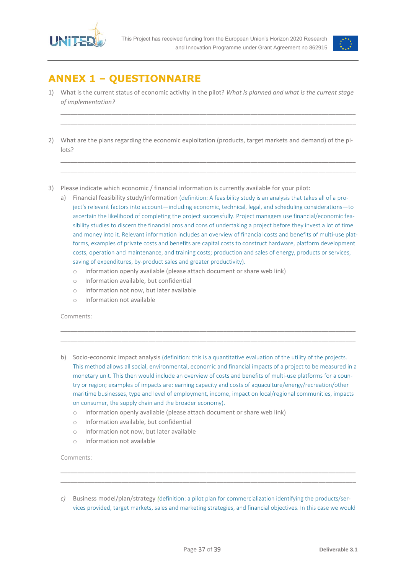



## <span id="page-36-0"></span>**ANNEX 1 – QUESTIONNAIRE**

1) What is the current status of economic activity in the pilot? *What is planned and what is the current stage of implementation?*

\_\_\_\_\_\_\_\_\_\_\_\_\_\_\_\_\_\_\_\_\_\_\_\_\_\_\_\_\_\_\_\_\_\_\_\_\_\_\_\_\_\_\_\_\_\_\_\_\_\_\_\_\_\_\_\_\_\_\_\_\_\_\_\_\_\_\_\_\_\_\_\_\_\_\_\_\_\_\_\_\_\_\_\_\_\_\_ \_\_\_\_\_\_\_\_\_\_\_\_\_\_\_\_\_\_\_\_\_\_\_\_\_\_\_\_\_\_\_\_\_\_\_\_\_\_\_\_\_\_\_\_\_\_\_\_\_\_\_\_\_\_\_\_\_\_\_\_\_\_\_\_\_\_\_\_\_\_\_\_\_\_\_\_\_\_\_\_\_\_\_\_\_\_\_

2) What are the plans regarding the economic exploitation (products, target markets and demand) of the pilots?

\_\_\_\_\_\_\_\_\_\_\_\_\_\_\_\_\_\_\_\_\_\_\_\_\_\_\_\_\_\_\_\_\_\_\_\_\_\_\_\_\_\_\_\_\_\_\_\_\_\_\_\_\_\_\_\_\_\_\_\_\_\_\_\_\_\_\_\_\_\_\_\_\_\_\_\_\_\_\_\_\_\_\_\_\_\_\_ \_\_\_\_\_\_\_\_\_\_\_\_\_\_\_\_\_\_\_\_\_\_\_\_\_\_\_\_\_\_\_\_\_\_\_\_\_\_\_\_\_\_\_\_\_\_\_\_\_\_\_\_\_\_\_\_\_\_\_\_\_\_\_\_\_\_\_\_\_\_\_\_\_\_\_\_\_\_\_\_\_\_\_\_\_\_\_

- 3) Please indicate which economic / financial information is currently available for your pilot:
	- a) Financial feasibility study/information (definition: A feasibility study is an analysis that takes all of a project's relevant factors into account—including economic, technical, legal, and scheduling considerations—to ascertain the likelihood of completing the project successfully. Project managers use financial/economic feasibility studies to discern the financial pros and cons of undertaking a project before they invest a lot of time and money into it. Relevant information includes an overview of financial costs and benefits of multi-use platforms, examples of private costs and benefits are capital costs to construct hardware, platform development costs, operation and maintenance, and training costs; production and sales of energy, products or services, saving of expenditures, by-product sales and greater productivity).
		- o Information openly available (please attach document or share web link)
		- o Information available, but confidential
		- o Information not now, but later available
		- o Information not available

Comments:

b) Socio-economic impact analysis (definition: this is a quantitative evaluation of the utility of the projects. This method allows all social, environmental, economic and financial impacts of a project to be measured in a monetary unit. This then would include an overview of costs and benefits of multi-use platforms for a country or region; examples of impacts are: earning capacity and costs of aquaculture/energy/recreation/other maritime businesses, type and level of employment, income, impact on local/regional communities, impacts on consumer, the supply chain and the broader economy).

\_\_\_\_\_\_\_\_\_\_\_\_\_\_\_\_\_\_\_\_\_\_\_\_\_\_\_\_\_\_\_\_\_\_\_\_\_\_\_\_\_\_\_\_\_\_\_\_\_\_\_\_\_\_\_\_\_\_\_\_\_\_\_\_\_\_\_\_\_\_\_\_\_\_\_\_\_\_\_\_\_\_\_\_\_\_\_ \_\_\_\_\_\_\_\_\_\_\_\_\_\_\_\_\_\_\_\_\_\_\_\_\_\_\_\_\_\_\_\_\_\_\_\_\_\_\_\_\_\_\_\_\_\_\_\_\_\_\_\_\_\_\_\_\_\_\_\_\_\_\_\_\_\_\_\_\_\_\_\_\_\_\_\_\_\_\_\_\_\_\_\_\_\_\_

- o Information openly available (please attach document or share web link)
- o Information available, but confidential
- o Information not now, but later available
- $\circ$  Information not available

Comments:

*c)* Business model/plan/strategy *(*definition: a pilot plan for commercialization identifying the products/services provided, target markets, sales and marketing strategies, and financial objectives. In this case we would

\_\_\_\_\_\_\_\_\_\_\_\_\_\_\_\_\_\_\_\_\_\_\_\_\_\_\_\_\_\_\_\_\_\_\_\_\_\_\_\_\_\_\_\_\_\_\_\_\_\_\_\_\_\_\_\_\_\_\_\_\_\_\_\_\_\_\_\_\_\_\_\_\_\_\_\_\_\_\_\_\_\_\_\_\_\_\_ \_\_\_\_\_\_\_\_\_\_\_\_\_\_\_\_\_\_\_\_\_\_\_\_\_\_\_\_\_\_\_\_\_\_\_\_\_\_\_\_\_\_\_\_\_\_\_\_\_\_\_\_\_\_\_\_\_\_\_\_\_\_\_\_\_\_\_\_\_\_\_\_\_\_\_\_\_\_\_\_\_\_\_\_\_\_\_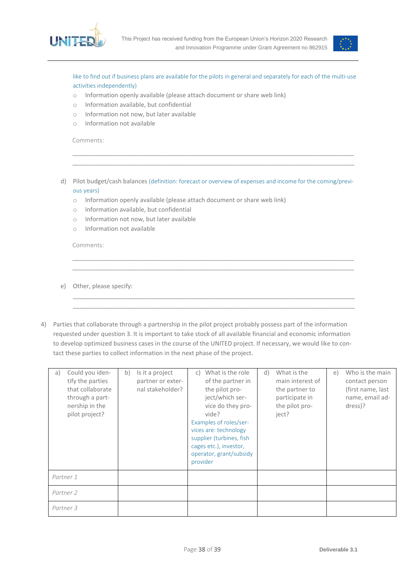



like to find out if business plans are available for the pilots in general and separately for each of the multi-use activities independently)

- o Information openly available (please attach document or share web link)
- o Information available, but confidential
- o Information not now, but later available
- o Information not available

Comments:

d) Pilot budget/cash balances (definition: forecast or overview of expenses and income for the coming/previous years)

\_\_\_\_\_\_\_\_\_\_\_\_\_\_\_\_\_\_\_\_\_\_\_\_\_\_\_\_\_\_\_\_\_\_\_\_\_\_\_\_\_\_\_\_\_\_\_\_\_\_\_\_\_\_\_\_\_\_\_\_\_\_\_\_\_\_\_\_\_\_\_\_\_\_\_\_\_\_\_\_\_\_\_ \_\_\_\_\_\_\_\_\_\_\_\_\_\_\_\_\_\_\_\_\_\_\_\_\_\_\_\_\_\_\_\_\_\_\_\_\_\_\_\_\_\_\_\_\_\_\_\_\_\_\_\_\_\_\_\_\_\_\_\_\_\_\_\_\_\_\_\_\_\_\_\_\_\_\_\_\_\_\_\_\_\_\_

\_\_\_\_\_\_\_\_\_\_\_\_\_\_\_\_\_\_\_\_\_\_\_\_\_\_\_\_\_\_\_\_\_\_\_\_\_\_\_\_\_\_\_\_\_\_\_\_\_\_\_\_\_\_\_\_\_\_\_\_\_\_\_\_\_\_\_\_\_\_\_\_\_\_\_\_\_\_\_\_\_\_\_ \_\_\_\_\_\_\_\_\_\_\_\_\_\_\_\_\_\_\_\_\_\_\_\_\_\_\_\_\_\_\_\_\_\_\_\_\_\_\_\_\_\_\_\_\_\_\_\_\_\_\_\_\_\_\_\_\_\_\_\_\_\_\_\_\_\_\_\_\_\_\_\_\_\_\_\_\_\_\_\_\_\_\_

\_\_\_\_\_\_\_\_\_\_\_\_\_\_\_\_\_\_\_\_\_\_\_\_\_\_\_\_\_\_\_\_\_\_\_\_\_\_\_\_\_\_\_\_\_\_\_\_\_\_\_\_\_\_\_\_\_\_\_\_\_\_\_\_\_\_\_\_\_\_\_\_\_\_\_\_\_\_\_\_\_\_\_ \_\_\_\_\_\_\_\_\_\_\_\_\_\_\_\_\_\_\_\_\_\_\_\_\_\_\_\_\_\_\_\_\_\_\_\_\_\_\_\_\_\_\_\_\_\_\_\_\_\_\_\_\_\_\_\_\_\_\_\_\_\_\_\_\_\_\_\_\_\_\_\_\_\_\_\_\_\_\_\_\_\_\_

- o Information openly available (please attach document or share web link)
- o Information available, but confidential
- o Information not now, but later available
- o Information not available

Comments:

- e) Other, please specify:
- 4) Parties that collaborate through a partnership in the pilot project probably possess part of the information requested under question 3. It is important to take stock of all available financial and economic information to develop optimized business cases in the course of the UNITED project. If necessary, we would like to contact these parties to collect information in the next phase of the project.

| Could you iden-<br>a)<br>tify the parties<br>that collaborate<br>through a part-<br>nership in the<br>pilot project? | b)<br>Is it a project<br>partner or exter-<br>nal stakeholder? | What is the role<br>C)<br>of the partner in<br>the pilot pro-<br>ject/which ser-<br>vice do they pro-<br>vide?<br>Examples of roles/ser-<br>vices are: technology<br>supplier (turbines, fish<br>cages etc.), investor,<br>operator, grant/subsidy<br>provider | What is the<br>d)<br>main interest of<br>the partner to<br>participate in<br>the pilot pro-<br>ject? | Who is the main<br>e)<br>contact person<br>(first name, last<br>name, email ad-<br>dress)? |
|----------------------------------------------------------------------------------------------------------------------|----------------------------------------------------------------|----------------------------------------------------------------------------------------------------------------------------------------------------------------------------------------------------------------------------------------------------------------|------------------------------------------------------------------------------------------------------|--------------------------------------------------------------------------------------------|
| Partner 1                                                                                                            |                                                                |                                                                                                                                                                                                                                                                |                                                                                                      |                                                                                            |
| Partner 2                                                                                                            |                                                                |                                                                                                                                                                                                                                                                |                                                                                                      |                                                                                            |
| Partner 3                                                                                                            |                                                                |                                                                                                                                                                                                                                                                |                                                                                                      |                                                                                            |